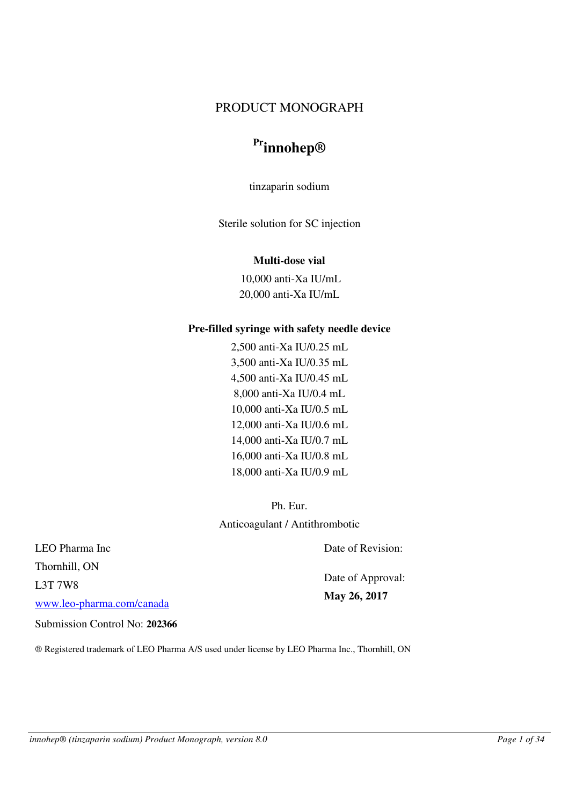# PRODUCT MONOGRAPH

# **Prinnohep®**

tinzaparin sodium

Sterile solution for SC injection

# **Multi-dose vial**

10,000 anti-Xa IU/mL 20,000 anti-Xa IU/mL

# **Pre-filled syringe with safety needle device**

2,500 anti-Xa IU/0.25 mL 3,500 anti-Xa IU/0.35 mL 4,500 anti-Xa IU/0.45 mL 8,000 anti-Xa IU/0.4 mL 10,000 anti-Xa IU/0.5 mL 12,000 anti-Xa IU/0.6 mL 14,000 anti-Xa IU/0.7 mL 16,000 anti-Xa IU/0.8 mL 18,000 anti-Xa IU/0.9 mL

Ph. Eur. Anticoagulant / Antithrombotic

LEO Pharma Inc Thornhill, ON L3T 7W8 [www.leo-pharma.com/canada](http://www.leo-pharma.com/canada)

Date of Revision:

Date of Approval: **May 26, 2017** 

Submission Control No: **202366**

® Registered trademark of LEO Pharma A/S used under license by LEO Pharma Inc., Thornhill, ON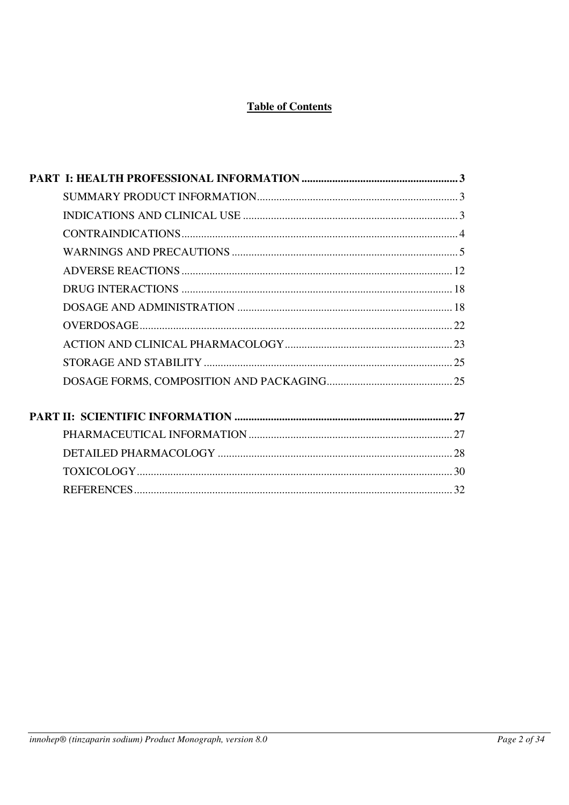# **Table of Contents**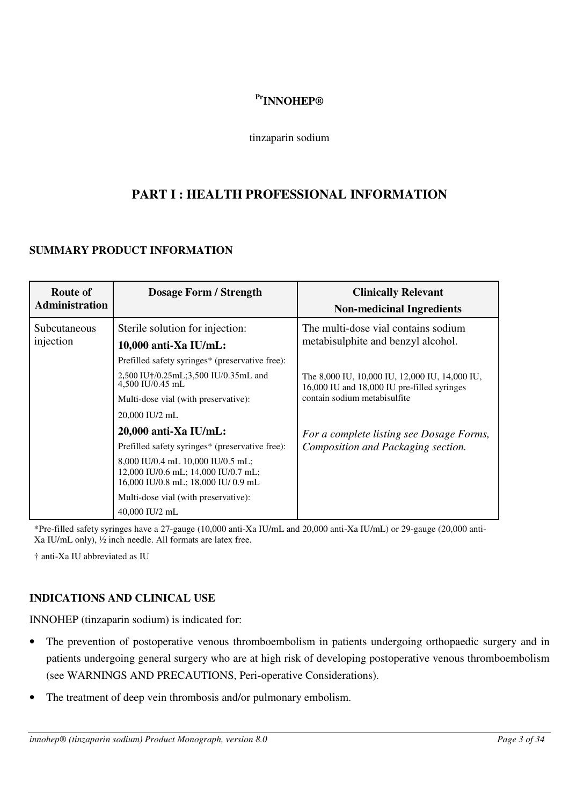# **PrINNOHEP®**

#### tinzaparin sodium

# <span id="page-2-0"></span>**PART I : HEALTH PROFESSIONAL INFORMATION**

# <span id="page-2-1"></span>**SUMMARY PRODUCT INFORMATION**

| <b>Route of</b><br><b>Administration</b> | <b>Dosage Form / Strength</b>                                                                                                                                                                             | <b>Clinically Relevant</b><br><b>Non-medicinal Ingredients</b>                                                                |
|------------------------------------------|-----------------------------------------------------------------------------------------------------------------------------------------------------------------------------------------------------------|-------------------------------------------------------------------------------------------------------------------------------|
| Subcutaneous<br>injection                | Sterile solution for injection:<br>$10,000$ anti-Xa IU/mL:                                                                                                                                                | The multi-dose vial contains sodium<br>metabisulphite and benzyl alcohol.                                                     |
|                                          | Prefilled safety syringes* (preservative free):<br>2,500 IU†/0.25mL;3,500 IU/0.35mL and<br>$4,500$ IU/0.45 mL<br>Multi-dose vial (with preservative):                                                     | The 8,000 IU, 10,000 IU, 12,000 IU, 14,000 IU,<br>16,000 IU and 18,000 IU pre-filled syringes<br>contain sodium metabisulfite |
|                                          | 20,000 IU/2 mL<br>$20,000$ anti-Xa IU/mL:                                                                                                                                                                 | For a complete listing see Dosage Forms,                                                                                      |
|                                          | Prefilled safety syringes* (preservative free):<br>8,000 IU/0.4 mL 10,000 IU/0.5 mL;<br>12,000 IU/0.6 mL; 14,000 IU/0.7 mL;<br>16,000 IU/0.8 mL; 18,000 IU/0.9 mL<br>Multi-dose vial (with preservative): | Composition and Packaging section.                                                                                            |
|                                          | 40,000 IU/2 mL                                                                                                                                                                                            |                                                                                                                               |

\*Pre-filled safety syringes have a 27-gauge (10,000 anti-Xa IU/mL and 20,000 anti-Xa IU/mL) or 29-gauge (20,000 anti-Xa IU/mL only), ½ inch needle. All formats are latex free.

† anti-Xa IU abbreviated as IU

# <span id="page-2-2"></span>**INDICATIONS AND CLINICAL USE**

INNOHEP (tinzaparin sodium) is indicated for:

- The prevention of postoperative venous thromboembolism in patients undergoing orthopaedic surgery and in patients undergoing general surgery who are at high risk of developing postoperative venous thromboembolism (see WARNINGS AND PRECAUTIONS, Peri-operative Considerations).
- The treatment of deep vein thrombosis and/or pulmonary embolism.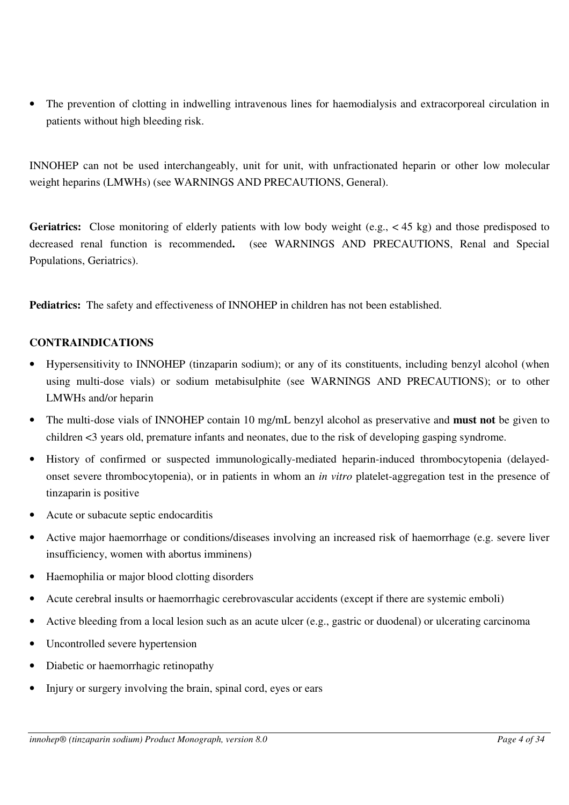• The prevention of clotting in indwelling intravenous lines for haemodialysis and extracorporeal circulation in patients without high bleeding risk.

INNOHEP can not be used interchangeably, unit for unit, with unfractionated heparin or other low molecular weight heparins (LMWHs) (see WARNINGS AND PRECAUTIONS, General).

Geriatrics: Close monitoring of elderly patients with low body weight (e.g., < 45 kg) and those predisposed to decreased renal function is recommended**.** (see WARNINGS AND PRECAUTIONS, Renal and Special Populations, Geriatrics).

**Pediatrics:** The safety and effectiveness of INNOHEP in children has not been established.

#### <span id="page-3-0"></span>**CONTRAINDICATIONS**

- Hypersensitivity to INNOHEP (tinzaparin sodium); or any of its constituents, including benzyl alcohol (when using multi-dose vials) or sodium metabisulphite (see WARNINGS AND PRECAUTIONS); or to other LMWHs and/or heparin
- The multi-dose vials of INNOHEP contain 10 mg/mL benzyl alcohol as preservative and **must not** be given to children <3 years old, premature infants and neonates, due to the risk of developing gasping syndrome.
- History of confirmed or suspected immunologically-mediated heparin-induced thrombocytopenia (delayedonset severe thrombocytopenia), or in patients in whom an *in vitro* platelet-aggregation test in the presence of tinzaparin is positive
- Acute or subacute septic endocarditis
- Active major haemorrhage or conditions/diseases involving an increased risk of haemorrhage (e.g. severe liver insufficiency, women with abortus imminens)
- Haemophilia or major blood clotting disorders
- Acute cerebral insults or haemorrhagic cerebrovascular accidents (except if there are systemic emboli)
- Active bleeding from a local lesion such as an acute ulcer (e.g., gastric or duodenal) or ulcerating carcinoma
- Uncontrolled severe hypertension
- Diabetic or haemorrhagic retinopathy
- Injury or surgery involving the brain, spinal cord, eyes or ears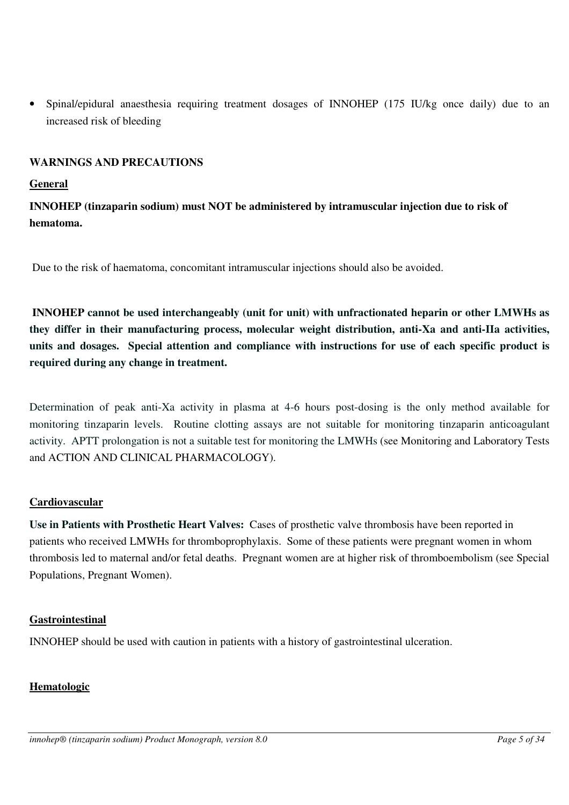• Spinal/epidural anaesthesia requiring treatment dosages of INNOHEP (175 IU/kg once daily) due to an increased risk of bleeding

# <span id="page-4-0"></span>**WARNINGS AND PRECAUTIONS**

#### **General**

**INNOHEP (tinzaparin sodium) must NOT be administered by intramuscular injection due to risk of hematoma.**

Due to the risk of haematoma, concomitant intramuscular injections should also be avoided.

 **INNOHEP cannot be used interchangeably (unit for unit) with unfractionated heparin or other LMWHs as they differ in their manufacturing process, molecular weight distribution, anti-Xa and anti-IIa activities, units and dosages. Special attention and compliance with instructions for use of each specific product is required during any change in treatment.** 

Determination of peak anti-Xa activity in plasma at 4-6 hours post-dosing is the only method available for monitoring tinzaparin levels. Routine clotting assays are not suitable for monitoring tinzaparin anticoagulant activity. APTT prolongation is not a suitable test for monitoring the LMWHs (see Monitoring and Laboratory Tests and ACTION AND CLINICAL PHARMACOLOGY).

# **Cardiovascular**

**Use in Patients with Prosthetic Heart Valves:** Cases of prosthetic valve thrombosis have been reported in patients who received LMWHs for thromboprophylaxis. Some of these patients were pregnant women in whom thrombosis led to maternal and/or fetal deaths. Pregnant women are at higher risk of thromboembolism (see Special Populations, Pregnant Women).

#### **Gastrointestinal**

INNOHEP should be used with caution in patients with a history of gastrointestinal ulceration.

# **Hematologic**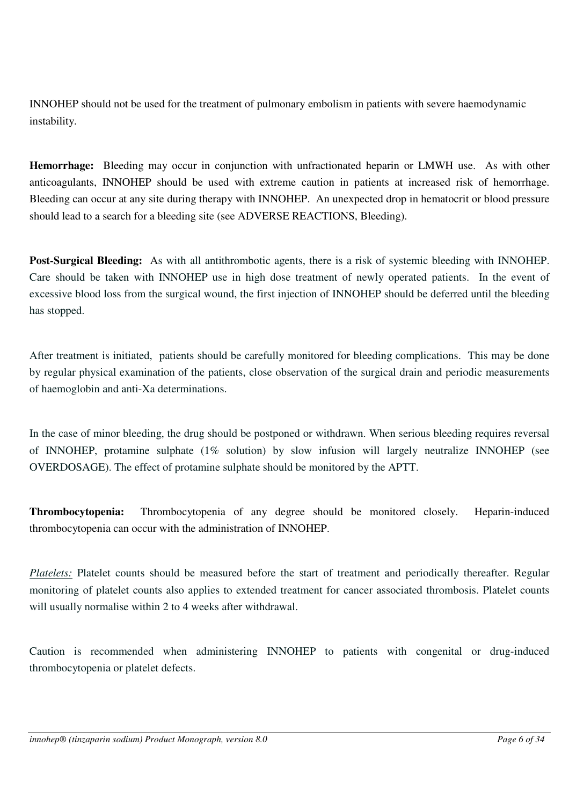INNOHEP should not be used for the treatment of pulmonary embolism in patients with severe haemodynamic instability.

**Hemorrhage:** Bleeding may occur in conjunction with unfractionated heparin or LMWH use. As with other anticoagulants, INNOHEP should be used with extreme caution in patients at increased risk of hemorrhage. Bleeding can occur at any site during therapy with INNOHEP. An unexpected drop in hematocrit or blood pressure should lead to a search for a bleeding site (see ADVERSE REACTIONS, Bleeding).

**Post-Surgical Bleeding:** As with all antithrombotic agents, there is a risk of systemic bleeding with INNOHEP. Care should be taken with INNOHEP use in high dose treatment of newly operated patients. In the event of excessive blood loss from the surgical wound, the first injection of INNOHEP should be deferred until the bleeding has stopped.

After treatment is initiated, patients should be carefully monitored for bleeding complications. This may be done by regular physical examination of the patients, close observation of the surgical drain and periodic measurements of haemoglobin and anti-Xa determinations.

In the case of minor bleeding, the drug should be postponed or withdrawn. When serious bleeding requires reversal of INNOHEP, protamine sulphate (1% solution) by slow infusion will largely neutralize INNOHEP (see OVERDOSAGE). The effect of protamine sulphate should be monitored by the APTT.

**Thrombocytopenia:** Thrombocytopenia of any degree should be monitored closely. Heparin-induced thrombocytopenia can occur with the administration of INNOHEP.

*Platelets:* Platelet counts should be measured before the start of treatment and periodically thereafter. Regular monitoring of platelet counts also applies to extended treatment for cancer associated thrombosis. Platelet counts will usually normalise within 2 to 4 weeks after withdrawal.

Caution is recommended when administering INNOHEP to patients with congenital or drug-induced thrombocytopenia or platelet defects.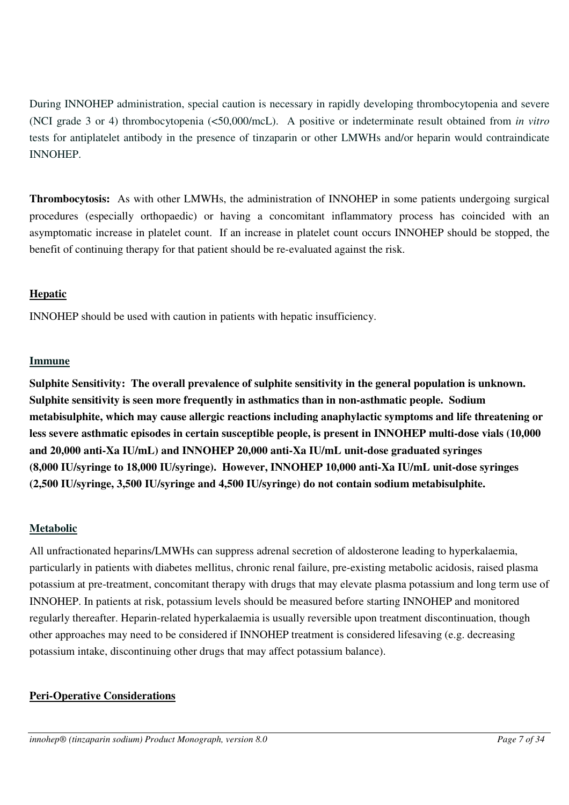During INNOHEP administration, special caution is necessary in rapidly developing thrombocytopenia and severe (NCI grade 3 or 4) thrombocytopenia (<50,000/mcL). A positive or indeterminate result obtained from *in vitro* tests for antiplatelet antibody in the presence of tinzaparin or other LMWHs and/or heparin would contraindicate INNOHEP.

**Thrombocytosis:** As with other LMWHs, the administration of INNOHEP in some patients undergoing surgical procedures (especially orthopaedic) or having a concomitant inflammatory process has coincided with an asymptomatic increase in platelet count. If an increase in platelet count occurs INNOHEP should be stopped, the benefit of continuing therapy for that patient should be re-evaluated against the risk.

# **Hepatic**

INNOHEP should be used with caution in patients with hepatic insufficiency.

# **Immune**

**Sulphite Sensitivity: The overall prevalence of sulphite sensitivity in the general population is unknown. Sulphite sensitivity is seen more frequently in asthmatics than in non-asthmatic people. Sodium metabisulphite, which may cause allergic reactions including anaphylactic symptoms and life threatening or less severe asthmatic episodes in certain susceptible people, is present in INNOHEP multi-dose vials (10,000 and 20,000 anti-Xa IU/mL) and INNOHEP 20,000 anti-Xa IU/mL unit-dose graduated syringes (8,000 IU/syringe to 18,000 IU/syringe). However, INNOHEP 10,000 anti-Xa IU/mL unit-dose syringes (2,500 IU/syringe, 3,500 IU/syringe and 4,500 IU/syringe) do not contain sodium metabisulphite.**

# **Metabolic**

All unfractionated heparins/LMWHs can suppress adrenal secretion of aldosterone leading to hyperkalaemia, particularly in patients with diabetes mellitus, chronic renal failure, pre-existing metabolic acidosis, raised plasma potassium at pre-treatment, concomitant therapy with drugs that may elevate plasma potassium and long term use of INNOHEP. In patients at risk, potassium levels should be measured before starting INNOHEP and monitored regularly thereafter. Heparin-related hyperkalaemia is usually reversible upon treatment discontinuation, though other approaches may need to be considered if INNOHEP treatment is considered lifesaving (e.g. decreasing potassium intake, discontinuing other drugs that may affect potassium balance).

# **Peri-Operative Considerations**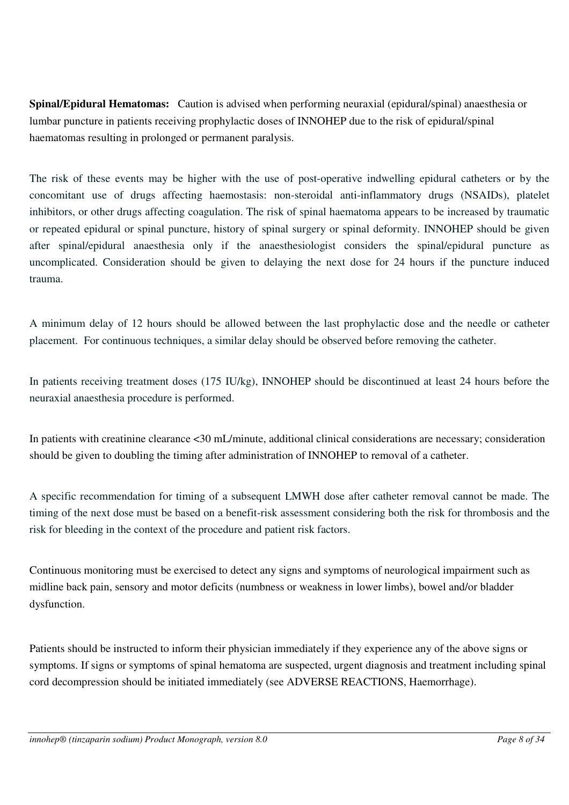**Spinal/Epidural Hematomas:** Caution is advised when performing neuraxial (epidural/spinal) anaesthesia or lumbar puncture in patients receiving prophylactic doses of INNOHEP due to the risk of epidural/spinal haematomas resulting in prolonged or permanent paralysis.

The risk of these events may be higher with the use of post-operative indwelling epidural catheters or by the concomitant use of drugs affecting haemostasis: non-steroidal anti-inflammatory drugs (NSAIDs), platelet inhibitors, or other drugs affecting coagulation. The risk of spinal haematoma appears to be increased by traumatic or repeated epidural or spinal puncture, history of spinal surgery or spinal deformity. INNOHEP should be given after spinal/epidural anaesthesia only if the anaesthesiologist considers the spinal/epidural puncture as uncomplicated. Consideration should be given to delaying the next dose for 24 hours if the puncture induced trauma.

A minimum delay of 12 hours should be allowed between the last prophylactic dose and the needle or catheter placement. For continuous techniques, a similar delay should be observed before removing the catheter.

In patients receiving treatment doses (175 IU/kg), INNOHEP should be discontinued at least 24 hours before the neuraxial anaesthesia procedure is performed.

In patients with creatinine clearance <30 mL/minute, additional clinical considerations are necessary; consideration should be given to doubling the timing after administration of INNOHEP to removal of a catheter.

A specific recommendation for timing of a subsequent LMWH dose after catheter removal cannot be made. The timing of the next dose must be based on a benefit-risk assessment considering both the risk for thrombosis and the risk for bleeding in the context of the procedure and patient risk factors.

Continuous monitoring must be exercised to detect any signs and symptoms of neurological impairment such as midline back pain, sensory and motor deficits (numbness or weakness in lower limbs), bowel and/or bladder dysfunction.

Patients should be instructed to inform their physician immediately if they experience any of the above signs or symptoms. If signs or symptoms of spinal hematoma are suspected, urgent diagnosis and treatment including spinal cord decompression should be initiated immediately (see ADVERSE REACTIONS, Haemorrhage).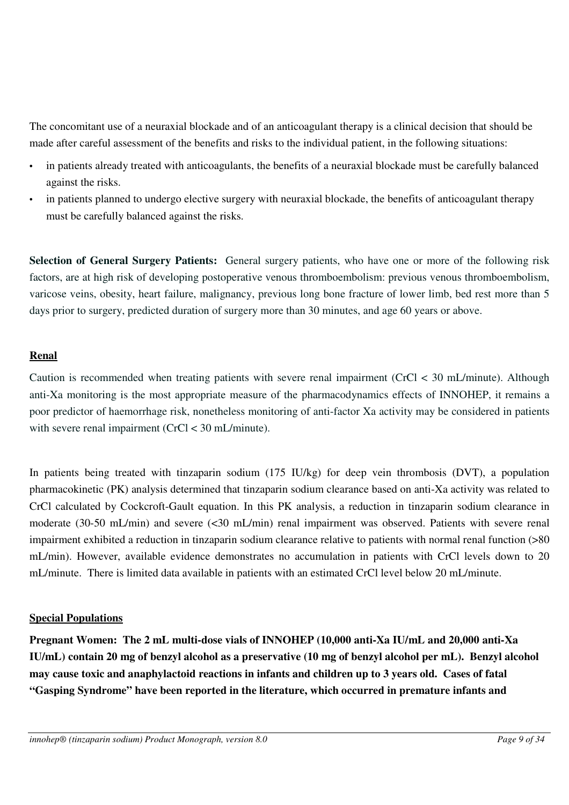The concomitant use of a neuraxial blockade and of an anticoagulant therapy is a clinical decision that should be made after careful assessment of the benefits and risks to the individual patient, in the following situations:

- in patients already treated with anticoagulants, the benefits of a neuraxial blockade must be carefully balanced against the risks.
- in patients planned to undergo elective surgery with neuraxial blockade, the benefits of anticoagulant therapy must be carefully balanced against the risks.

**Selection of General Surgery Patients:** General surgery patients, who have one or more of the following risk factors, are at high risk of developing postoperative venous thromboembolism: previous venous thromboembolism, varicose veins, obesity, heart failure, malignancy, previous long bone fracture of lower limb, bed rest more than 5 days prior to surgery, predicted duration of surgery more than 30 minutes, and age 60 years or above.

# **Renal**

Caution is recommended when treating patients with severe renal impairment (CrCl < 30 mL/minute). Although anti-Xa monitoring is the most appropriate measure of the pharmacodynamics effects of INNOHEP, it remains a poor predictor of haemorrhage risk, nonetheless monitoring of anti-factor Xa activity may be considered in patients with severe renal impairment (CrCl < 30 mL/minute).

In patients being treated with tinzaparin sodium (175 IU/kg) for deep vein thrombosis (DVT), a population pharmacokinetic (PK) analysis determined that tinzaparin sodium clearance based on anti-Xa activity was related to CrCl calculated by Cockcroft-Gault equation. In this PK analysis, a reduction in tinzaparin sodium clearance in moderate (30-50 mL/min) and severe (<30 mL/min) renal impairment was observed. Patients with severe renal impairment exhibited a reduction in tinzaparin sodium clearance relative to patients with normal renal function (>80 mL/min). However, available evidence demonstrates no accumulation in patients with CrCl levels down to 20 mL/minute. There is limited data available in patients with an estimated CrCl level below 20 mL/minute.

# **Special Populations**

**Pregnant Women: The 2 mL multi-dose vials of INNOHEP (10,000 anti-Xa IU/mL and 20,000 anti-Xa IU/mL) contain 20 mg of benzyl alcohol as a preservative (10 mg of benzyl alcohol per mL). Benzyl alcohol may cause toxic and anaphylactoid reactions in infants and children up to 3 years old. Cases of fatal "Gasping Syndrome" have been reported in the literature, which occurred in premature infants and**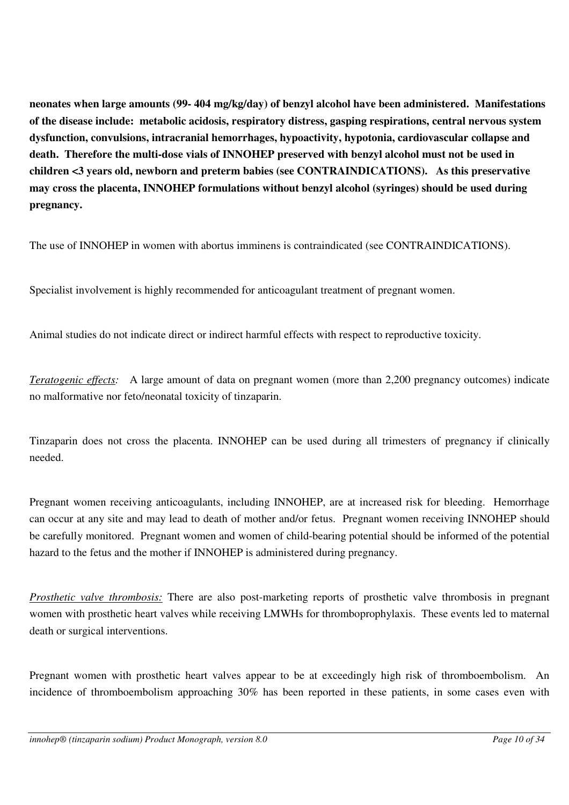**neonates when large amounts (99- 404 mg/kg/day) of benzyl alcohol have been administered. Manifestations of the disease include: metabolic acidosis, respiratory distress, gasping respirations, central nervous system dysfunction, convulsions, intracranial hemorrhages, hypoactivity, hypotonia, cardiovascular collapse and death. Therefore the multi-dose vials of INNOHEP preserved with benzyl alcohol must not be used in children <3 years old, newborn and preterm babies (see CONTRAINDICATIONS). As this preservative may cross the placenta, INNOHEP formulations without benzyl alcohol (syringes) should be used during pregnancy.** 

The use of INNOHEP in women with abortus imminens is contraindicated (see CONTRAINDICATIONS).

Specialist involvement is highly recommended for anticoagulant treatment of pregnant women.

Animal studies do not indicate direct or indirect harmful effects with respect to reproductive toxicity.

*Teratogenic effects:* A large amount of data on pregnant women (more than 2,200 pregnancy outcomes) indicate no malformative nor feto/neonatal toxicity of tinzaparin.

Tinzaparin does not cross the placenta. INNOHEP can be used during all trimesters of pregnancy if clinically needed.

Pregnant women receiving anticoagulants, including INNOHEP, are at increased risk for bleeding. Hemorrhage can occur at any site and may lead to death of mother and/or fetus. Pregnant women receiving INNOHEP should be carefully monitored. Pregnant women and women of child-bearing potential should be informed of the potential hazard to the fetus and the mother if INNOHEP is administered during pregnancy.

*Prosthetic valve thrombosis:* There are also post-marketing reports of prosthetic valve thrombosis in pregnant women with prosthetic heart valves while receiving LMWHs for thromboprophylaxis. These events led to maternal death or surgical interventions.

Pregnant women with prosthetic heart valves appear to be at exceedingly high risk of thromboembolism. An incidence of thromboembolism approaching 30% has been reported in these patients, in some cases even with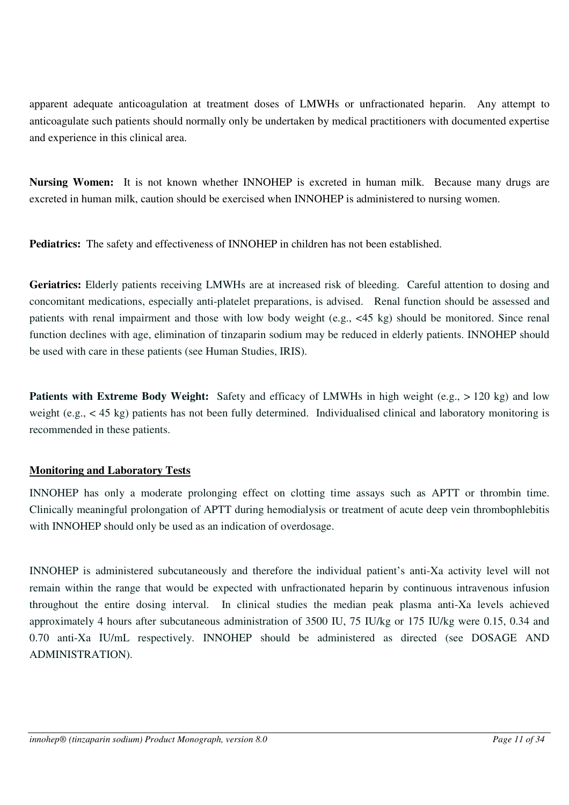apparent adequate anticoagulation at treatment doses of LMWHs or unfractionated heparin. Any attempt to anticoagulate such patients should normally only be undertaken by medical practitioners with documented expertise and experience in this clinical area.

**Nursing Women:** It is not known whether INNOHEP is excreted in human milk. Because many drugs are excreted in human milk, caution should be exercised when INNOHEP is administered to nursing women.

**Pediatrics:** The safety and effectiveness of INNOHEP in children has not been established.

**Geriatrics:** Elderly patients receiving LMWHs are at increased risk of bleeding. Careful attention to dosing and concomitant medications, especially anti-platelet preparations, is advised. Renal function should be assessed and patients with renal impairment and those with low body weight (e.g., <45 kg) should be monitored. Since renal function declines with age, elimination of tinzaparin sodium may be reduced in elderly patients. INNOHEP should be used with care in these patients (see Human Studies, IRIS).

**Patients with Extreme Body Weight:** Safety and efficacy of LMWHs in high weight (e.g., > 120 kg) and low weight (e.g., < 45 kg) patients has not been fully determined. Individualised clinical and laboratory monitoring is recommended in these patients.

# **Monitoring and Laboratory Tests**

INNOHEP has only a moderate prolonging effect on clotting time assays such as APTT or thrombin time. Clinically meaningful prolongation of APTT during hemodialysis or treatment of acute deep vein thrombophlebitis with INNOHEP should only be used as an indication of overdosage.

INNOHEP is administered subcutaneously and therefore the individual patient's anti-Xa activity level will not remain within the range that would be expected with unfractionated heparin by continuous intravenous infusion throughout the entire dosing interval. In clinical studies the median peak plasma anti-Xa levels achieved approximately 4 hours after subcutaneous administration of 3500 IU, 75 IU/kg or 175 IU/kg were 0.15, 0.34 and 0.70 anti-Xa IU/mL respectively. INNOHEP should be administered as directed (see DOSAGE AND ADMINISTRATION).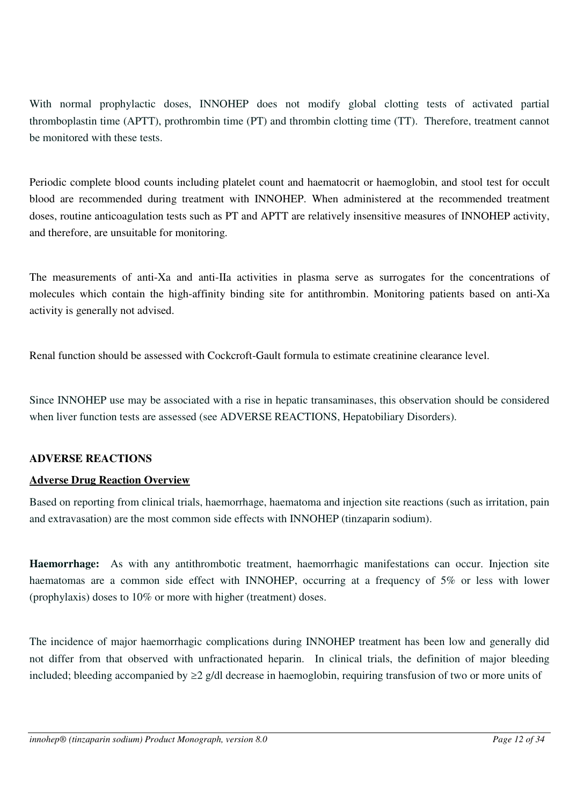With normal prophylactic doses, INNOHEP does not modify global clotting tests of activated partial thromboplastin time (APTT), prothrombin time (PT) and thrombin clotting time (TT). Therefore, treatment cannot be monitored with these tests.

Periodic complete blood counts including platelet count and haematocrit or haemoglobin, and stool test for occult blood are recommended during treatment with INNOHEP. When administered at the recommended treatment doses, routine anticoagulation tests such as PT and APTT are relatively insensitive measures of INNOHEP activity, and therefore, are unsuitable for monitoring.

The measurements of anti-Xa and anti-IIa activities in plasma serve as surrogates for the concentrations of molecules which contain the high-affinity binding site for antithrombin. Monitoring patients based on anti-Xa activity is generally not advised.

Renal function should be assessed with Cockcroft-Gault formula to estimate creatinine clearance level.

Since INNOHEP use may be associated with a rise in hepatic transaminases, this observation should be considered when liver function tests are assessed (see ADVERSE REACTIONS, Hepatobiliary Disorders).

# <span id="page-11-0"></span>**ADVERSE REACTIONS**

# **Adverse Drug Reaction Overview**

Based on reporting from clinical trials, haemorrhage, haematoma and injection site reactions (such as irritation, pain and extravasation) are the most common side effects with INNOHEP (tinzaparin sodium).

**Haemorrhage:** As with any antithrombotic treatment, haemorrhagic manifestations can occur. Injection site haematomas are a common side effect with INNOHEP, occurring at a frequency of 5% or less with lower (prophylaxis) doses to 10% or more with higher (treatment) doses.

The incidence of major haemorrhagic complications during INNOHEP treatment has been low and generally did not differ from that observed with unfractionated heparin. In clinical trials, the definition of major bleeding included; bleeding accompanied by ≥2 g/dl decrease in haemoglobin, requiring transfusion of two or more units of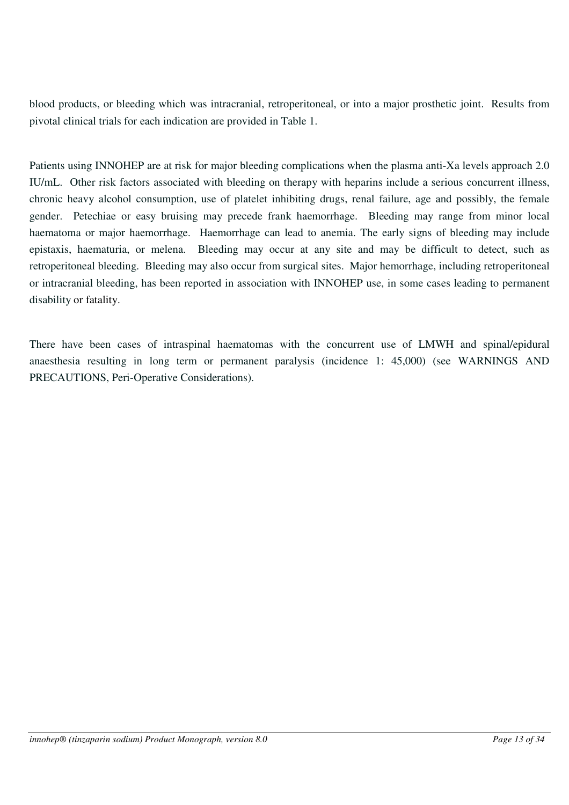blood products, or bleeding which was intracranial, retroperitoneal, or into a major prosthetic joint. Results from pivotal clinical trials for each indication are provided in Table 1.

Patients using INNOHEP are at risk for major bleeding complications when the plasma anti-Xa levels approach 2.0 IU/mL. Other risk factors associated with bleeding on therapy with heparins include a serious concurrent illness, chronic heavy alcohol consumption, use of platelet inhibiting drugs, renal failure, age and possibly, the female gender. Petechiae or easy bruising may precede frank haemorrhage. Bleeding may range from minor local haematoma or major haemorrhage. Haemorrhage can lead to anemia. The early signs of bleeding may include epistaxis, haematuria, or melena. Bleeding may occur at any site and may be difficult to detect, such as retroperitoneal bleeding. Bleeding may also occur from surgical sites. Major hemorrhage, including retroperitoneal or intracranial bleeding, has been reported in association with INNOHEP use, in some cases leading to permanent disability or fatality.

There have been cases of intraspinal haematomas with the concurrent use of LMWH and spinal/epidural anaesthesia resulting in long term or permanent paralysis (incidence 1: 45,000) (see WARNINGS AND PRECAUTIONS, Peri-Operative Considerations).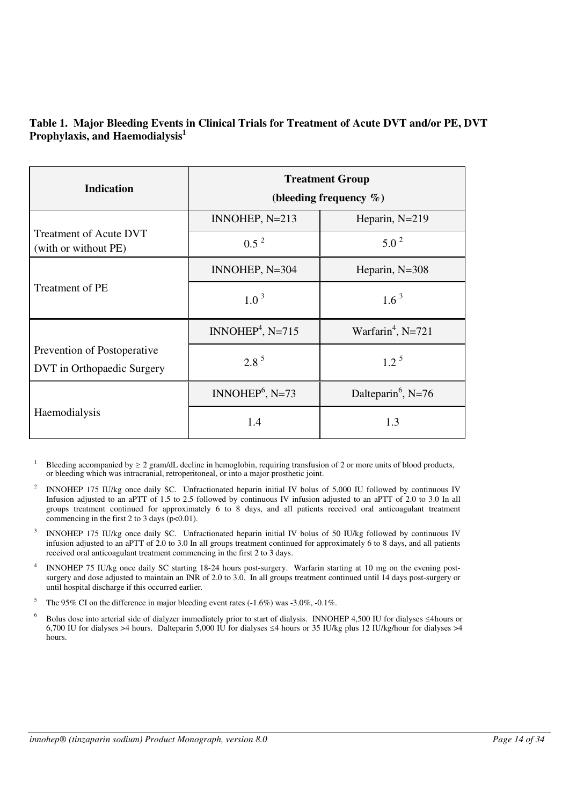## **Table 1. Major Bleeding Events in Clinical Trials for Treatment of Acute DVT and/or PE, DVT Prophylaxis, and Haemodialysis<sup>1</sup>**

| <b>Indication</b>                                         | <b>Treatment Group</b><br>(bleeding frequency $\%$ ) |                                |  |  |
|-----------------------------------------------------------|------------------------------------------------------|--------------------------------|--|--|
|                                                           | INNOHEP, $N=213$                                     | Heparin, $N=219$               |  |  |
| <b>Treatment of Acute DVT</b><br>(with or without PE)     | $0.5^2$                                              | $5.0^2$                        |  |  |
|                                                           | INNOHEP, $N=304$                                     | Heparin, N=308                 |  |  |
| Treatment of PE                                           | $1.0^3$                                              | $1.6^3$                        |  |  |
|                                                           | INNOHEP <sup>4</sup> , N=715                         | Warfarin <sup>4</sup> , N=721  |  |  |
| Prevention of Postoperative<br>DVT in Orthopaedic Surgery | $2.8^5$                                              | $1.2^5$                        |  |  |
|                                                           | INNOHE $P^6$ , N=73                                  | Dalteparin <sup>6</sup> , N=76 |  |  |
| Haemodialysis                                             | 1.4                                                  | 1.3                            |  |  |

- <sup>1</sup> Bleeding accompanied by  $\geq 2$  gram/dL decline in hemoglobin, requiring transfusion of 2 or more units of blood products, or bleeding which was intracranial, retroperitoneal, or into a major prosthetic joint.
- 2 INNOHEP 175 IU/kg once daily SC. Unfractionated heparin initial IV bolus of 5,000 IU followed by continuous IV Infusion adjusted to an aPTT of 1.5 to 2.5 followed by continuous IV infusion adjusted to an aPTT of 2.0 to 3.0 In all groups treatment continued for approximately 6 to 8 days, and all patients received oral anticoagulant treatment commencing in the first 2 to 3 days  $(p<0.01)$ .
- 3 INNOHEP 175 IU/kg once daily SC. Unfractionated heparin initial IV bolus of 50 IU/kg followed by continuous IV infusion adjusted to an aPTT of 2.0 to 3.0 In all groups treatment continued for approximately 6 to 8 days, and all patients received oral anticoagulant treatment commencing in the first 2 to 3 days.
- 4 INNOHEP 75 IU/kg once daily SC starting 18-24 hours post-surgery. Warfarin starting at 10 mg on the evening postsurgery and dose adjusted to maintain an INR of 2.0 to 3.0. In all groups treatment continued until 14 days post-surgery or until hospital discharge if this occurred earlier.
- <sup>5</sup> The 95% CI on the difference in major bleeding event rates  $(-1.6%)$  was  $-3.0%$ ,  $-0.1%$ .
- 6 Bolus dose into arterial side of dialyzer immediately prior to start of dialysis. INNOHEP 4,500 IU for dialyses ≤4 hours or 6,700 IU for dialyses >4 hours. Dalteparin 5,000 IU for dialyses ≤4 hours or 35 IU/kg plus 12 IU/kg/hour for dialyses >4 hours.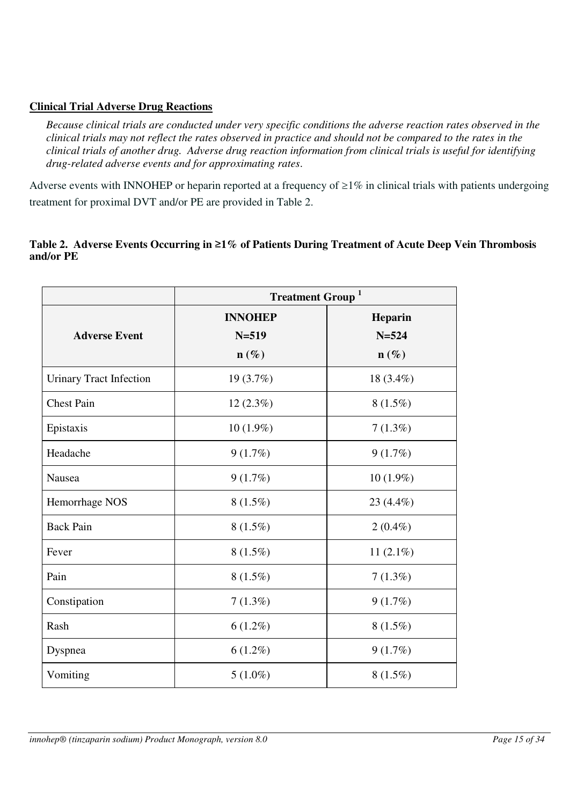# **Clinical Trial Adverse Drug Reactions**

*Because clinical trials are conducted under very specific conditions the adverse reaction rates observed in the clinical trials may not reflect the rates observed in practice and should not be compared to the rates in the clinical trials of another drug. Adverse drug reaction information from clinical trials is useful for identifying drug-related adverse events and for approximating rates*.

Adverse events with INNOHEP or heparin reported at a frequency of  $\geq$ 1% in clinical trials with patients undergoing treatment for proximal DVT and/or PE are provided in Table 2.

## **Table 2. Adverse Events Occurring in** ≥**1% of Patients During Treatment of Acute Deep Vein Thrombosis and/or PE**

|                                | <b>Treatment Group</b> <sup>1</sup> |                  |  |  |
|--------------------------------|-------------------------------------|------------------|--|--|
|                                | <b>INNOHEP</b>                      | Heparin          |  |  |
| <b>Adverse Event</b>           | $N = 519$                           | $N = 524$        |  |  |
|                                | $\mathbf{n}(\%)$                    | $\mathbf{n}(\%)$ |  |  |
| <b>Urinary Tract Infection</b> | 19(3.7%)                            | 18 (3.4%)        |  |  |
| <b>Chest Pain</b>              | $12(2.3\%)$                         | $8(1.5\%)$       |  |  |
| Epistaxis                      | $10(1.9\%)$                         | $7(1.3\%)$       |  |  |
| Headache                       | 9(1.7%)                             | 9(1.7%)          |  |  |
| Nausea                         | 9(1.7%)                             | $10(1.9\%)$      |  |  |
| Hemorrhage NOS                 | $8(1.5\%)$                          | 23 (4.4%)        |  |  |
| <b>Back Pain</b>               | $8(1.5\%)$                          | $2(0.4\%)$       |  |  |
| Fever                          | $8(1.5\%)$                          | 11 $(2.1\%)$     |  |  |
| Pain                           | $8(1.5\%)$                          | 7(1.3%)          |  |  |
| Constipation                   | 7(1.3%)                             | 9(1.7%)          |  |  |
| Rash                           | $6(1.2\%)$                          | $8(1.5\%)$       |  |  |
| Dyspnea                        | $6(1.2\%)$                          | 9(1.7%)          |  |  |
| Vomiting                       | $5(1.0\%)$                          | $8(1.5\%)$       |  |  |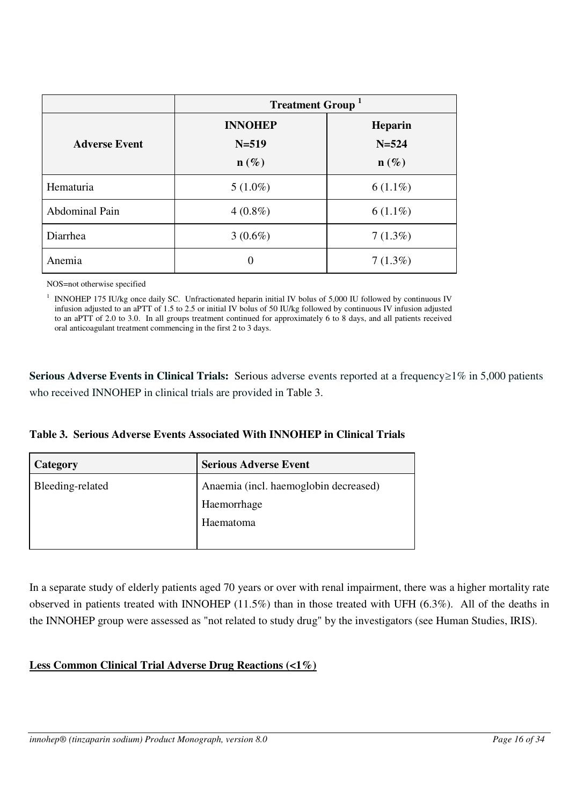|                       | <b>Treatment Group</b> <sup>1</sup> |                  |  |  |
|-----------------------|-------------------------------------|------------------|--|--|
|                       | <b>INNOHEP</b>                      | <b>Heparin</b>   |  |  |
| <b>Adverse Event</b>  | $N = 519$                           | $N = 524$        |  |  |
|                       | $\mathbf{n}(\%)$                    | $\mathbf{n}(\%)$ |  |  |
| Hematuria             | $5(1.0\%)$                          | $6(1.1\%)$       |  |  |
| <b>Abdominal Pain</b> | $4(0.8\%)$                          | $6(1.1\%)$       |  |  |
| Diarrhea              | $3(0.6\%)$                          | 7(1.3%)          |  |  |
| Anemia                | $\theta$                            | 7(1.3%)          |  |  |

NOS=not otherwise specified

<sup>1</sup> INNOHEP 175 IU/kg once daily SC. Unfractionated heparin initial IV bolus of 5,000 IU followed by continuous IV infusion adjusted to an aPTT of 1.5 to 2.5 or initial IV bolus of 50 IU/kg followed by continuous IV infusion adjusted to an aPTT of 2.0 to 3.0. In all groups treatment continued for approximately 6 to 8 days, and all patients received oral anticoagulant treatment commencing in the first 2 to 3 days.

Serious Adverse Events in Clinical Trials: Serious adverse events reported at a frequency≥1% in 5,000 patients who received INNOHEP in clinical trials are provided in Table 3.

|  |  |  |  |  |  | Table 3. Serious Adverse Events Associated With INNOHEP in Clinical Trials |  |  |  |
|--|--|--|--|--|--|----------------------------------------------------------------------------|--|--|--|
|--|--|--|--|--|--|----------------------------------------------------------------------------|--|--|--|

| Category         | <b>Serious Adverse Event</b>          |
|------------------|---------------------------------------|
| Bleeding-related | Anaemia (incl. haemoglobin decreased) |
|                  | Haemorrhage                           |
|                  | Haematoma                             |
|                  |                                       |

In a separate study of elderly patients aged 70 years or over with renal impairment, there was a higher mortality rate observed in patients treated with INNOHEP (11.5%) than in those treated with UFH (6.3%). All of the deaths in the INNOHEP group were assessed as "not related to study drug" by the investigators (see Human Studies, IRIS).

# **Less Common Clinical Trial Adverse Drug Reactions (<1%)**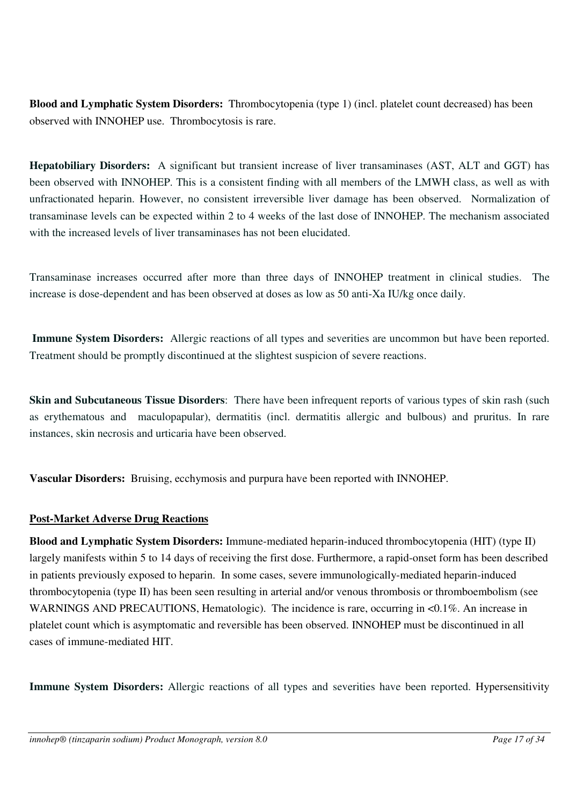**Blood and Lymphatic System Disorders:** Thrombocytopenia (type 1) (incl. platelet count decreased) has been observed with INNOHEP use. Thrombocytosis is rare.

**Hepatobiliary Disorders:** A significant but transient increase of liver transaminases (AST, ALT and GGT) has been observed with INNOHEP. This is a consistent finding with all members of the LMWH class, as well as with unfractionated heparin. However, no consistent irreversible liver damage has been observed. Normalization of transaminase levels can be expected within 2 to 4 weeks of the last dose of INNOHEP. The mechanism associated with the increased levels of liver transaminases has not been elucidated.

Transaminase increases occurred after more than three days of INNOHEP treatment in clinical studies. The increase is dose-dependent and has been observed at doses as low as 50 anti-Xa IU/kg once daily.

**Immune System Disorders:** Allergic reactions of all types and severities are uncommon but have been reported. Treatment should be promptly discontinued at the slightest suspicion of severe reactions.

**Skin and Subcutaneous Tissue Disorders**: There have been infrequent reports of various types of skin rash (such as erythematous and maculopapular), dermatitis (incl. dermatitis allergic and bulbous) and pruritus. In rare instances, skin necrosis and urticaria have been observed.

**Vascular Disorders:** Bruising, ecchymosis and purpura have been reported with INNOHEP.

# **Post-Market Adverse Drug Reactions**

**Blood and Lymphatic System Disorders:** Immune-mediated heparin-induced thrombocytopenia (HIT) (type II) largely manifests within 5 to 14 days of receiving the first dose. Furthermore, a rapid-onset form has been described in patients previously exposed to heparin. In some cases, severe immunologically-mediated heparin-induced thrombocytopenia (type II) has been seen resulting in arterial and/or venous thrombosis or thromboembolism (see WARNINGS AND PRECAUTIONS, Hematologic). The incidence is rare, occurring in <0.1%. An increase in platelet count which is asymptomatic and reversible has been observed. INNOHEP must be discontinued in all cases of immune-mediated HIT.

**Immune System Disorders:** Allergic reactions of all types and severities have been reported. Hypersensitivity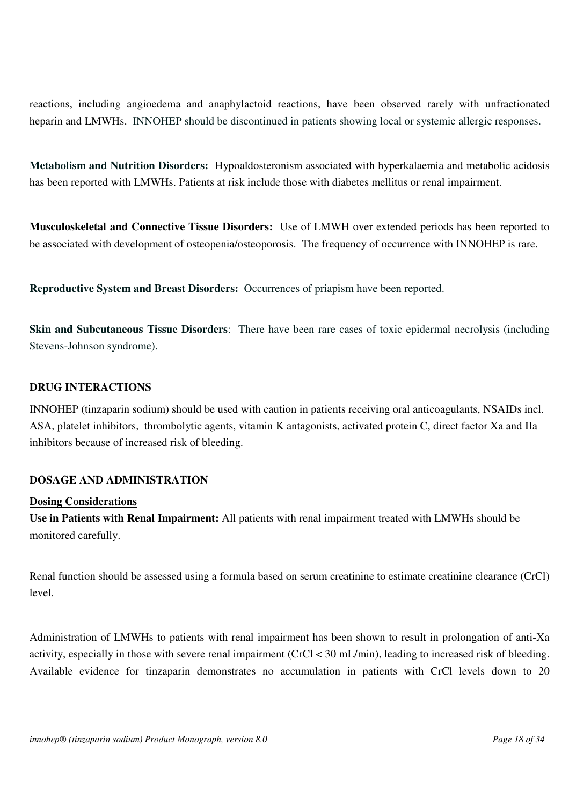reactions, including angioedema and anaphylactoid reactions, have been observed rarely with unfractionated heparin and LMWHs. INNOHEP should be discontinued in patients showing local or systemic allergic responses.

**Metabolism and Nutrition Disorders:** Hypoaldosteronism associated with hyperkalaemia and metabolic acidosis has been reported with LMWHs. Patients at risk include those with diabetes mellitus or renal impairment.

**Musculoskeletal and Connective Tissue Disorders:** Use of LMWH over extended periods has been reported to be associated with development of osteopenia/osteoporosis. The frequency of occurrence with INNOHEP is rare.

**Reproductive System and Breast Disorders:** Occurrences of priapism have been reported.

**Skin and Subcutaneous Tissue Disorders**: There have been rare cases of toxic epidermal necrolysis (including Stevens-Johnson syndrome).

#### <span id="page-17-0"></span>**DRUG INTERACTIONS**

INNOHEP (tinzaparin sodium) should be used with caution in patients receiving oral anticoagulants, NSAIDs incl. ASA, platelet inhibitors, thrombolytic agents, vitamin K antagonists, activated protein C, direct factor Xa and IIa inhibitors because of increased risk of bleeding.

# <span id="page-17-1"></span>**DOSAGE AND ADMINISTRATION**

#### **Dosing Considerations**

**Use in Patients with Renal Impairment:** All patients with renal impairment treated with LMWHs should be monitored carefully.

Renal function should be assessed using a formula based on serum creatinine to estimate creatinine clearance (CrCl) level.

Administration of LMWHs to patients with renal impairment has been shown to result in prolongation of anti-Xa activity, especially in those with severe renal impairment (CrCl < 30 mL/min), leading to increased risk of bleeding. Available evidence for tinzaparin demonstrates no accumulation in patients with CrCl levels down to 20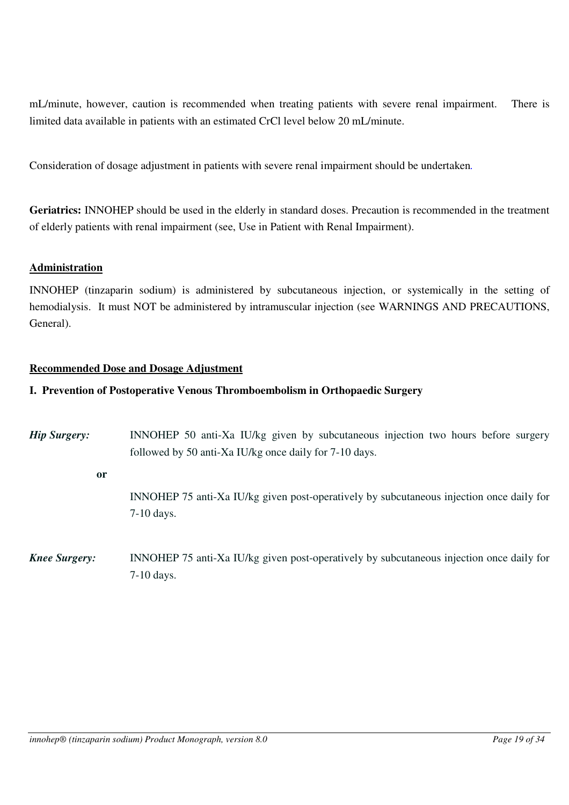mL/minute, however, caution is recommended when treating patients with severe renal impairment. There is limited data available in patients with an estimated CrCl level below 20 mL/minute.

Consideration of dosage adjustment in patients with severe renal impairment should be undertaken*.*

**Geriatrics:** INNOHEP should be used in the elderly in standard doses. Precaution is recommended in the treatment of elderly patients with renal impairment (see, Use in Patient with Renal Impairment).

#### **Administration**

INNOHEP (tinzaparin sodium) is administered by subcutaneous injection, or systemically in the setting of hemodialysis. It must NOT be administered by intramuscular injection (see WARNINGS AND PRECAUTIONS, General).

#### **Recommended Dose and Dosage Adjustment**

#### **I. Prevention of Postoperative Venous Thromboembolism in Orthopaedic Surgery**

| <b>Hip Surgery:</b>  | INNOHEP 50 anti-Xa IU/kg given by subcutaneous injection two hours before surgery<br>followed by 50 anti-Xa IU/kg once daily for 7-10 days. |
|----------------------|---------------------------------------------------------------------------------------------------------------------------------------------|
| <b>or</b>            |                                                                                                                                             |
|                      | INNOHEP 75 anti-Xa IU/kg given post-operatively by subcutaneous injection once daily for<br>$7-10$ days.                                    |
| <b>Knee Surgery:</b> | INNOHEP 75 anti-Xa IU/kg given post-operatively by subcutaneous injection once daily for<br>$7-10$ days.                                    |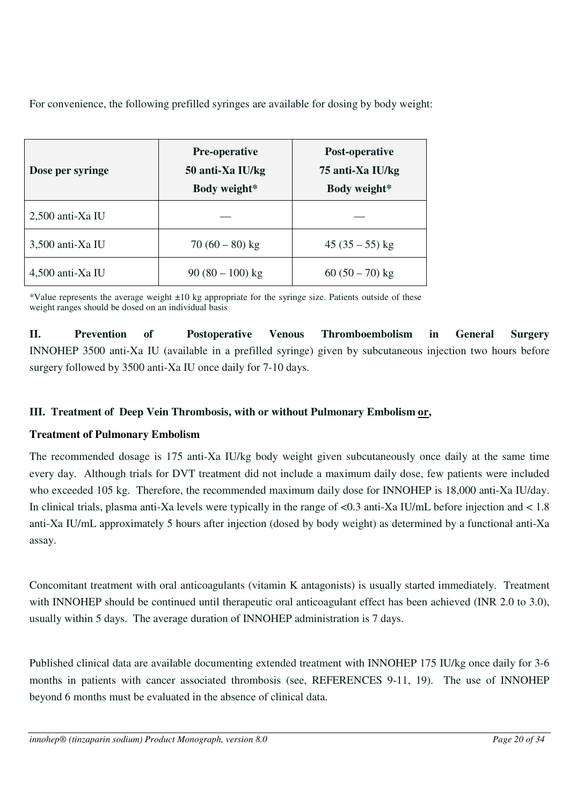For convenience, the following prefilled syringes are available for dosing by body weight:

| Dose per syringe   | <b>Pre-operative</b><br>50 anti-Xa IU/kg<br>Body weight* | Post-operative<br>75 anti-Xa IU/kg<br>Body weight* |  |
|--------------------|----------------------------------------------------------|----------------------------------------------------|--|
| $2,500$ anti-Xa IU |                                                          |                                                    |  |
| 3,500 anti-Xa IU   | $70(60-80)$ kg                                           | $45(35-55)$ kg                                     |  |
| $4,500$ anti-Xa IU | $90(80-100)$ kg                                          | $60(50-70)$ kg                                     |  |

\*Value represents the average weight ±10 kg appropriate for the syringe size. Patients outside of these weight ranges should be dosed on an individual basis

**II. Prevention of Postoperative Venous Thromboembolism in General Surgery**  INNOHEP 3500 anti-Xa IU (available in a prefilled syringe) given by subcutaneous injection two hours before surgery followed by 3500 anti-Xa IU once daily for 7-10 days.

# **III. Treatment of Deep Vein Thrombosis, with or without Pulmonary Embolism or,**

# **Treatment of Pulmonary Embolism**

The recommended dosage is 175 anti-Xa IU/kg body weight given subcutaneously once daily at the same time every day. Although trials for DVT treatment did not include a maximum daily dose, few patients were included who exceeded 105 kg. Therefore, the recommended maximum daily dose for INNOHEP is 18,000 anti-Xa IU/day. In clinical trials, plasma anti-Xa levels were typically in the range of <0.3 anti-Xa IU/mL before injection and < 1.8 anti-Xa IU/mL approximately 5 hours after injection (dosed by body weight) as determined by a functional anti-Xa assay.

Concomitant treatment with oral anticoagulants (vitamin K antagonists) is usually started immediately. Treatment with INNOHEP should be continued until therapeutic oral anticoagulant effect has been achieved (INR 2.0 to 3.0), usually within 5 days. The average duration of INNOHEP administration is 7 days.

Published clinical data are available documenting extended treatment with INNOHEP 175 IU/kg once daily for 3-6 months in patients with cancer associated thrombosis (see, REFERENCES 9-11, 19). The use of INNOHEP beyond 6 months must be evaluated in the absence of clinical data.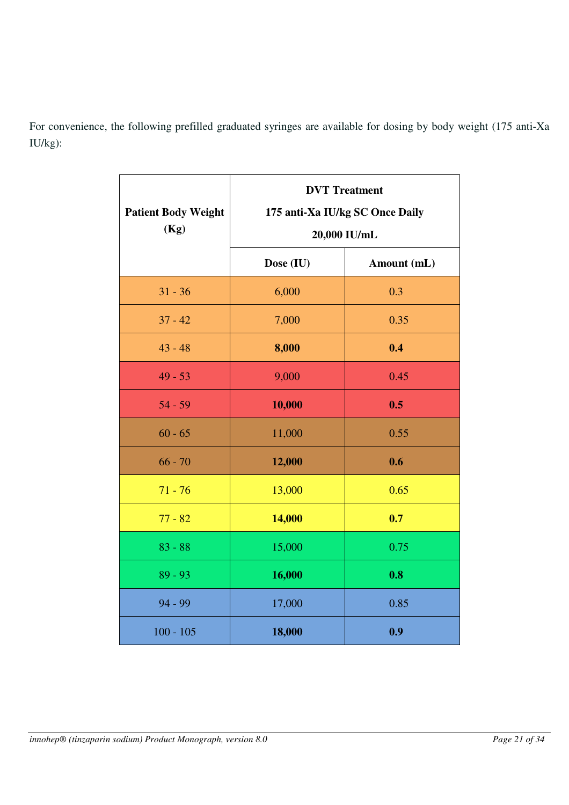For convenience, the following prefilled graduated syringes are available for dosing by body weight (175 anti-Xa IU/kg):

| <b>Patient Body Weight</b><br>(Kg) | <b>DVT</b> Treatment<br>175 anti-Xa IU/kg SC Once Daily<br>20,000 IU/mL |             |  |
|------------------------------------|-------------------------------------------------------------------------|-------------|--|
|                                    | Dose (IU)                                                               | Amount (mL) |  |
| $31 - 36$                          | 6,000                                                                   | 0.3         |  |
| $37 - 42$                          | 7,000                                                                   | 0.35        |  |
| $43 - 48$                          | 8,000                                                                   | 0.4         |  |
| $49 - 53$                          | 9,000                                                                   | 0.45        |  |
| $54 - 59$                          | 10,000                                                                  | 0.5         |  |
| $60 - 65$                          | 11,000                                                                  | 0.55        |  |
| $66 - 70$                          | 12,000                                                                  | 0.6         |  |
| $71 - 76$                          | 13,000                                                                  | 0.65        |  |
| $77 - 82$                          | 14,000                                                                  | 0.7         |  |
| $83 - 88$                          | 15,000                                                                  | 0.75        |  |
| $89 - 93$                          | 16,000                                                                  | 0.8         |  |
| 94 - 99                            | 17,000                                                                  | 0.85        |  |
| $100 - 105$                        | 18,000                                                                  | 0.9         |  |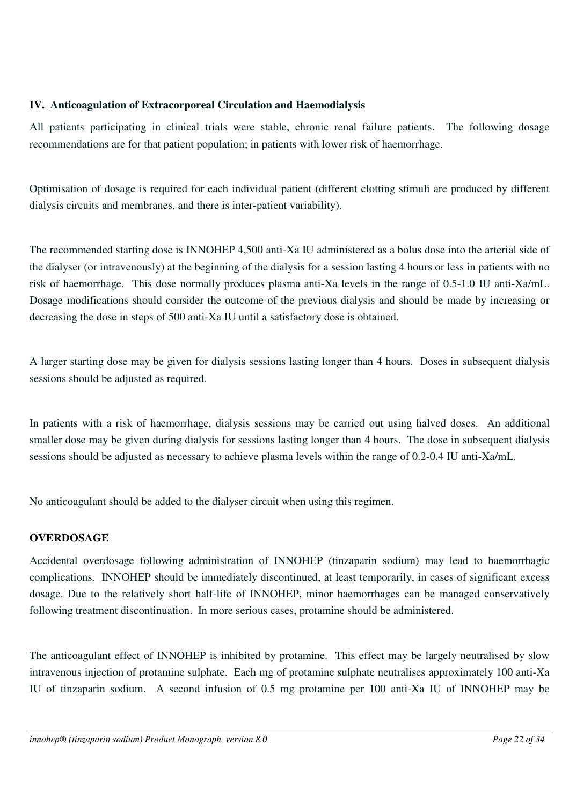# **IV. Anticoagulation of Extracorporeal Circulation and Haemodialysis**

All patients participating in clinical trials were stable, chronic renal failure patients. The following dosage recommendations are for that patient population; in patients with lower risk of haemorrhage.

Optimisation of dosage is required for each individual patient (different clotting stimuli are produced by different dialysis circuits and membranes, and there is inter-patient variability).

The recommended starting dose is INNOHEP 4,500 anti-Xa IU administered as a bolus dose into the arterial side of the dialyser (or intravenously) at the beginning of the dialysis for a session lasting 4 hours or less in patients with no risk of haemorrhage. This dose normally produces plasma anti-Xa levels in the range of 0.5-1.0 IU anti-Xa/mL. Dosage modifications should consider the outcome of the previous dialysis and should be made by increasing or decreasing the dose in steps of 500 anti-Xa IU until a satisfactory dose is obtained.

A larger starting dose may be given for dialysis sessions lasting longer than 4 hours. Doses in subsequent dialysis sessions should be adjusted as required.

In patients with a risk of haemorrhage, dialysis sessions may be carried out using halved doses. An additional smaller dose may be given during dialysis for sessions lasting longer than 4 hours. The dose in subsequent dialysis sessions should be adjusted as necessary to achieve plasma levels within the range of 0.2-0.4 IU anti-Xa/mL.

No anticoagulant should be added to the dialyser circuit when using this regimen.

# <span id="page-21-0"></span>**OVERDOSAGE**

Accidental overdosage following administration of INNOHEP (tinzaparin sodium) may lead to haemorrhagic complications. INNOHEP should be immediately discontinued, at least temporarily, in cases of significant excess dosage. Due to the relatively short half-life of INNOHEP, minor haemorrhages can be managed conservatively following treatment discontinuation. In more serious cases, protamine should be administered.

The anticoagulant effect of INNOHEP is inhibited by protamine. This effect may be largely neutralised by slow intravenous injection of protamine sulphate. Each mg of protamine sulphate neutralises approximately 100 anti-Xa IU of tinzaparin sodium. A second infusion of 0.5 mg protamine per 100 anti-Xa IU of INNOHEP may be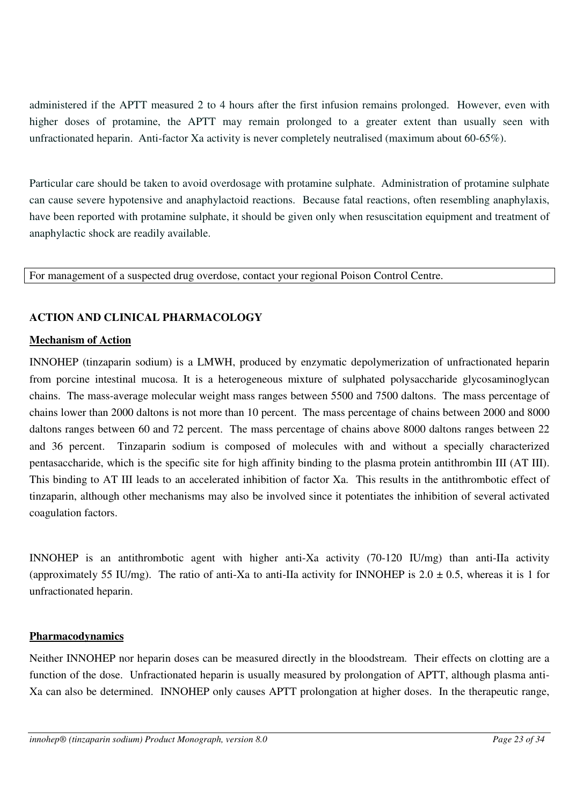administered if the APTT measured 2 to 4 hours after the first infusion remains prolonged. However, even with higher doses of protamine, the APTT may remain prolonged to a greater extent than usually seen with unfractionated heparin. Anti-factor Xa activity is never completely neutralised (maximum about 60-65%).

Particular care should be taken to avoid overdosage with protamine sulphate. Administration of protamine sulphate can cause severe hypotensive and anaphylactoid reactions. Because fatal reactions, often resembling anaphylaxis, have been reported with protamine sulphate, it should be given only when resuscitation equipment and treatment of anaphylactic shock are readily available.

For management of a suspected drug overdose, contact your regional Poison Control Centre.

# <span id="page-22-0"></span>**ACTION AND CLINICAL PHARMACOLOGY**

#### **Mechanism of Action**

INNOHEP (tinzaparin sodium) is a LMWH, produced by enzymatic depolymerization of unfractionated heparin from porcine intestinal mucosa. It is a heterogeneous mixture of sulphated polysaccharide glycosaminoglycan chains. The mass-average molecular weight mass ranges between 5500 and 7500 daltons. The mass percentage of chains lower than 2000 daltons is not more than 10 percent. The mass percentage of chains between 2000 and 8000 daltons ranges between 60 and 72 percent. The mass percentage of chains above 8000 daltons ranges between 22 and 36 percent. Tinzaparin sodium is composed of molecules with and without a specially characterized pentasaccharide, which is the specific site for high affinity binding to the plasma protein antithrombin III (AT III). This binding to AT III leads to an accelerated inhibition of factor Xa. This results in the antithrombotic effect of tinzaparin, although other mechanisms may also be involved since it potentiates the inhibition of several activated coagulation factors.

INNOHEP is an antithrombotic agent with higher anti-Xa activity (70-120 IU/mg) than anti-IIa activity (approximately 55 IU/mg). The ratio of anti-Xa to anti-IIa activity for INNOHEP is  $2.0 \pm 0.5$ , whereas it is 1 for unfractionated heparin.

# **Pharmacodynamics**

Neither INNOHEP nor heparin doses can be measured directly in the bloodstream. Their effects on clotting are a function of the dose. Unfractionated heparin is usually measured by prolongation of APTT, although plasma anti-Xa can also be determined. INNOHEP only causes APTT prolongation at higher doses. In the therapeutic range,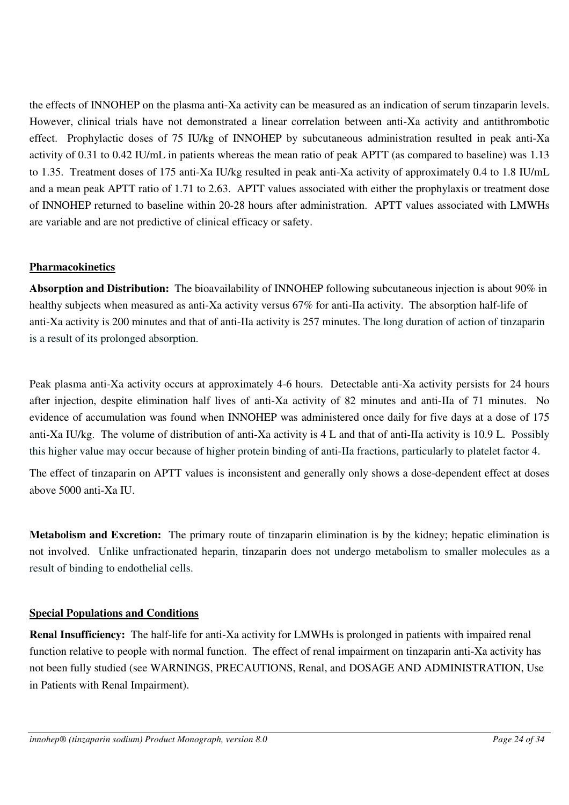the effects of INNOHEP on the plasma anti-Xa activity can be measured as an indication of serum tinzaparin levels. However, clinical trials have not demonstrated a linear correlation between anti-Xa activity and antithrombotic effect. Prophylactic doses of 75 IU/kg of INNOHEP by subcutaneous administration resulted in peak anti-Xa activity of 0.31 to 0.42 IU/mL in patients whereas the mean ratio of peak APTT (as compared to baseline) was 1.13 to 1.35. Treatment doses of 175 anti-Xa IU/kg resulted in peak anti-Xa activity of approximately 0.4 to 1.8 IU/mL and a mean peak APTT ratio of 1.71 to 2.63. APTT values associated with either the prophylaxis or treatment dose of INNOHEP returned to baseline within 20-28 hours after administration. APTT values associated with LMWHs are variable and are not predictive of clinical efficacy or safety.

# **Pharmacokinetics**

**Absorption and Distribution:** The bioavailability of INNOHEP following subcutaneous injection is about 90% in healthy subjects when measured as anti-Xa activity versus 67% for anti-IIa activity. The absorption half-life of anti-Xa activity is 200 minutes and that of anti-IIa activity is 257 minutes. The long duration of action of tinzaparin is a result of its prolonged absorption.

Peak plasma anti-Xa activity occurs at approximately 4-6 hours. Detectable anti-Xa activity persists for 24 hours after injection, despite elimination half lives of anti-Xa activity of 82 minutes and anti-IIa of 71 minutes. No evidence of accumulation was found when INNOHEP was administered once daily for five days at a dose of 175 anti-Xa IU/kg. The volume of distribution of anti-Xa activity is 4 L and that of anti-IIa activity is 10.9 L. Possibly this higher value may occur because of higher protein binding of anti-IIa fractions, particularly to platelet factor 4.

The effect of tinzaparin on APTT values is inconsistent and generally only shows a dose-dependent effect at doses above 5000 anti-Xa IU.

**Metabolism and Excretion:** The primary route of tinzaparin elimination is by the kidney; hepatic elimination is not involved. Unlike unfractionated heparin, tinzaparin does not undergo metabolism to smaller molecules as a result of binding to endothelial cells.

# **Special Populations and Conditions**

**Renal Insufficiency:** The half-life for anti-Xa activity for LMWHs is prolonged in patients with impaired renal function relative to people with normal function. The effect of renal impairment on tinzaparin anti-Xa activity has not been fully studied (see WARNINGS, PRECAUTIONS, Renal, and DOSAGE AND ADMINISTRATION, Use in Patients with Renal Impairment).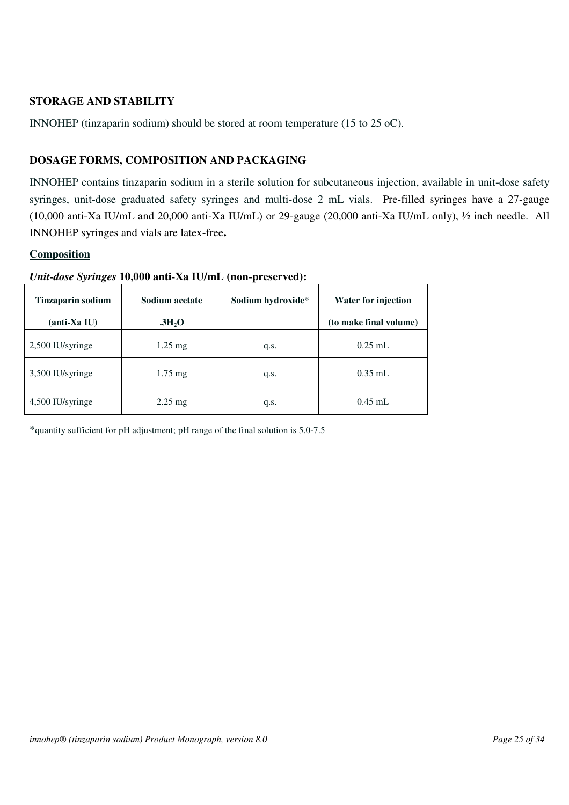# <span id="page-24-0"></span>**STORAGE AND STABILITY**

INNOHEP (tinzaparin sodium) should be stored at room temperature (15 to 25 oC).

# <span id="page-24-1"></span>**DOSAGE FORMS, COMPOSITION AND PACKAGING**

INNOHEP contains tinzaparin sodium in a sterile solution for subcutaneous injection, available in unit-dose safety syringes, unit-dose graduated safety syringes and multi-dose 2 mL vials. Pre-filled syringes have a 27-gauge (10,000 anti-Xa IU/mL and 20,000 anti-Xa IU/mL) or 29-gauge (20,000 anti-Xa IU/mL only), ½ inch needle. All INNOHEP syringes and vials are latex-free**.**

# **Composition**

| <b>Tinzaparin sodium</b><br>(anti-Xa IU) | Sodium acetate<br>$\rm .3H_2O$ | Sodium hydroxide* | Water for injection<br>(to make final volume) |
|------------------------------------------|--------------------------------|-------------------|-----------------------------------------------|
| 2,500 IU/syringe                         | $1.25$ mg                      | q.s.              | $0.25$ mL                                     |
| 3,500 IU/syringe                         | $1.75 \text{ mg}$              | q.s.              | $0.35$ mL                                     |
| 4,500 IU/syringe                         | $2.25 \text{ mg}$              | q.s.              | $0.45$ mL                                     |

#### *Unit-dose Syringes* **10,000 anti-Xa IU/mL (non-preserved):**

\*quantity sufficient for pH adjustment; pH range of the final solution is 5.0-7.5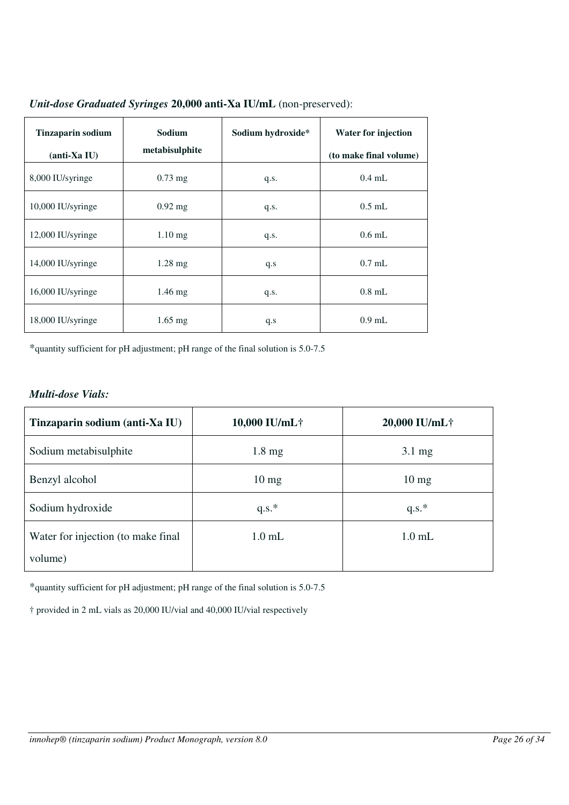| <b>Tinzaparin sodium</b><br>$(anti-Xa IU)$ | Sodium<br>metabisulphite | Sodium hydroxide* | <b>Water for injection</b><br>(to make final volume) |
|--------------------------------------------|--------------------------|-------------------|------------------------------------------------------|
| 8,000 IU/syringe                           | $0.73$ mg                | q.s.              | $0.4$ mL                                             |
| 10,000 IU/syringe                          | $0.92$ mg                | q.s.              | $0.5$ mL                                             |
| 12,000 IU/syringe                          | $1.10$ mg                | q.s.              | $0.6$ mL                                             |
| 14,000 IU/syringe                          | $1.28 \text{ mg}$        | q.s               | $0.7$ mL                                             |
| 16,000 IU/syringe                          | $1.46$ mg                | q.s.              | $0.8$ mL                                             |
| 18,000 IU/syringe                          | $1.65$ mg                | q.s               | $0.9$ mL                                             |

*Unit-dose Graduated Syringes* **20,000 anti-Xa IU/mL** (non-preserved):

\*quantity sufficient for pH adjustment; pH range of the final solution is 5.0-7.5

# *Multi-dose Vials:*

| Tinzaparin sodium (anti-Xa IU)     | 10,000 IU/mL†    | 20,000 IU/mL†    |
|------------------------------------|------------------|------------------|
| Sodium metabisulphite              | $1.8 \text{ mg}$ | $3.1 \text{ mg}$ |
| Benzyl alcohol                     | $10 \text{ mg}$  | $10 \text{ mg}$  |
| Sodium hydroxide                   | $q.s.*$          | $q.s.*$          |
| Water for injection (to make final | $1.0$ mL         | $1.0$ mL         |
| volume)                            |                  |                  |

\*quantity sufficient for pH adjustment; pH range of the final solution is 5.0-7.5

† provided in 2 mL vials as 20,000 IU/vial and 40,000 IU/vial respectively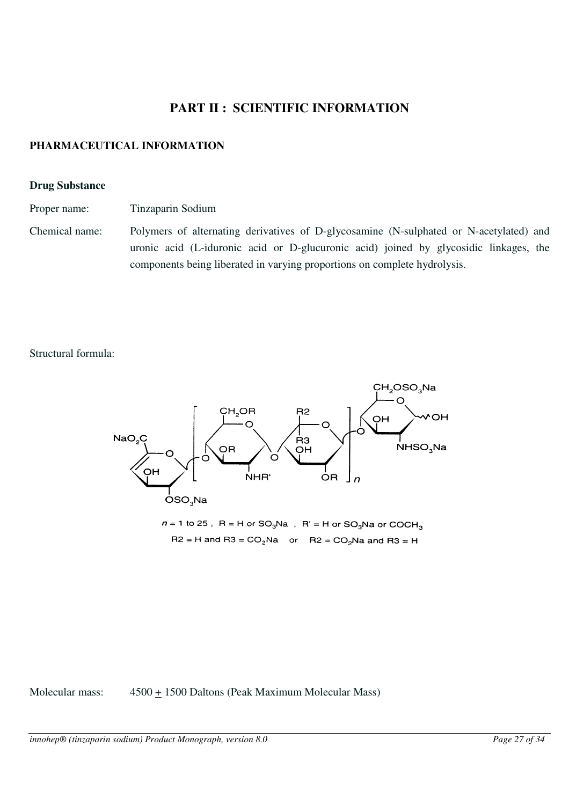# <span id="page-26-0"></span>**PART II : SCIENTIFIC INFORMATION**

## <span id="page-26-1"></span>**PHARMACEUTICAL INFORMATION**

#### **Drug Substance**

Proper name: Tinzaparin Sodium

Chemical name: Polymers of alternating derivatives of D-glycosamine (N-sulphated or N-acetylated) and uronic acid (L-iduronic acid or D-glucuronic acid) joined by glycosidic linkages, the components being liberated in varying proportions on complete hydrolysis.

Structural formula:



 $R2 = H$  and  $R3 = CO<sub>2</sub>Na$  or  $R2 = CO<sub>2</sub>Na$  and  $R3 = H$ 

Molecular mass:  $4500 + 1500$  Daltons (Peak Maximum Molecular Mass)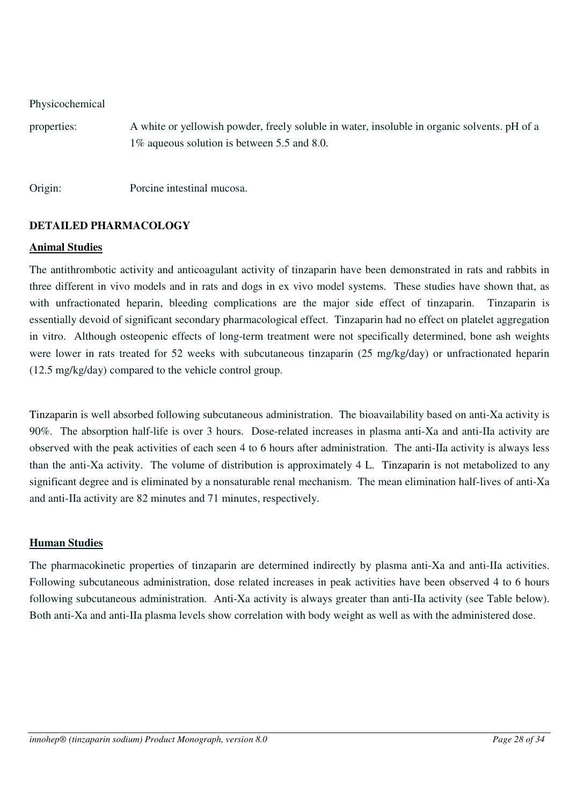| Physicochemical |  |  |
|-----------------|--|--|
|                 |  |  |

properties: A white or yellowish powder, freely soluble in water, insoluble in organic solvents. pH of a 1% aqueous solution is between 5.5 and 8.0.

Origin: Porcine intestinal mucosa.

# <span id="page-27-0"></span>**DETAILED PHARMACOLOGY**

#### **Animal Studies**

The antithrombotic activity and anticoagulant activity of tinzaparin have been demonstrated in rats and rabbits in three different in vivo models and in rats and dogs in ex vivo model systems. These studies have shown that, as with unfractionated heparin, bleeding complications are the major side effect of tinzaparin. Tinzaparin is essentially devoid of significant secondary pharmacological effect. Tinzaparin had no effect on platelet aggregation in vitro. Although osteopenic effects of long-term treatment were not specifically determined, bone ash weights were lower in rats treated for 52 weeks with subcutaneous tinzaparin (25 mg/kg/day) or unfractionated heparin (12.5 mg/kg/day) compared to the vehicle control group.

Tinzaparin is well absorbed following subcutaneous administration. The bioavailability based on anti-Xa activity is 90%. The absorption half-life is over 3 hours. Dose-related increases in plasma anti-Xa and anti-IIa activity are observed with the peak activities of each seen 4 to 6 hours after administration. The anti-IIa activity is always less than the anti-Xa activity. The volume of distribution is approximately 4 L. Tinzaparin is not metabolized to any significant degree and is eliminated by a nonsaturable renal mechanism. The mean elimination half-lives of anti-Xa and anti-IIa activity are 82 minutes and 71 minutes, respectively.

# **Human Studies**

The pharmacokinetic properties of tinzaparin are determined indirectly by plasma anti-Xa and anti-IIa activities. Following subcutaneous administration, dose related increases in peak activities have been observed 4 to 6 hours following subcutaneous administration. Anti-Xa activity is always greater than anti-IIa activity (see Table below). Both anti-Xa and anti-IIa plasma levels show correlation with body weight as well as with the administered dose.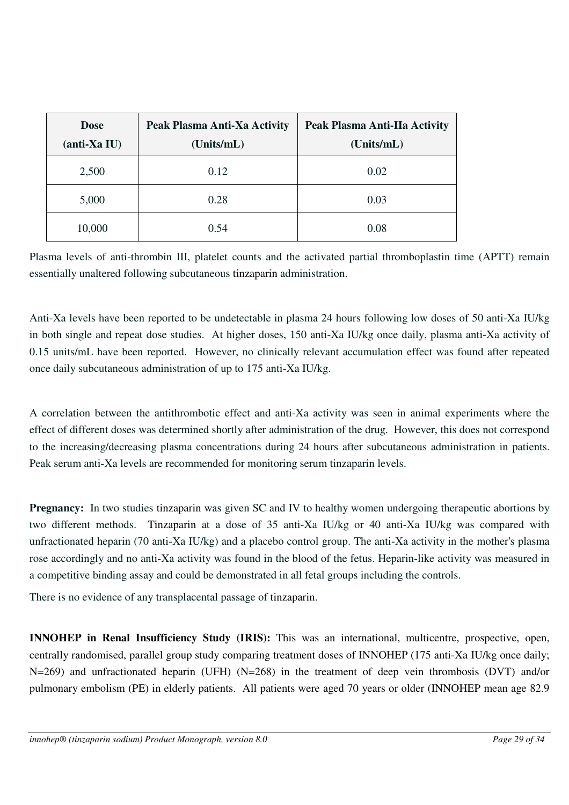| <b>Dose</b><br>$(anti-Xa IU)$ | Peak Plasma Anti-Xa Activity<br>(Units/mL) | Peak Plasma Anti-IIa Activity<br>(Units/mL) |
|-------------------------------|--------------------------------------------|---------------------------------------------|
| 2,500                         | 0.12                                       | 0.02                                        |
| 5,000                         | 0.28                                       | 0.03                                        |
| 10,000                        | 0.54                                       | 0.08                                        |

Plasma levels of anti-thrombin III, platelet counts and the activated partial thromboplastin time (APTT) remain essentially unaltered following subcutaneous tinzaparin administration.

Anti-Xa levels have been reported to be undetectable in plasma 24 hours following low doses of 50 anti-Xa IU/kg in both single and repeat dose studies. At higher doses, 150 anti-Xa IU/kg once daily, plasma anti-Xa activity of 0.15 units/mL have been reported. However, no clinically relevant accumulation effect was found after repeated once daily subcutaneous administration of up to 175 anti-Xa IU/kg.

A correlation between the antithrombotic effect and anti-Xa activity was seen in animal experiments where the effect of different doses was determined shortly after administration of the drug. However, this does not correspond to the increasing/decreasing plasma concentrations during 24 hours after subcutaneous administration in patients. Peak serum anti-Xa levels are recommended for monitoring serum tinzaparin levels.

**Pregnancy:** In two studies tinzaparin was given SC and IV to healthy women undergoing therapeutic abortions by two different methods. Tinzaparin at a dose of 35 anti-Xa IU/kg or 40 anti-Xa IU/kg was compared with unfractionated heparin (70 anti-Xa IU/kg) and a placebo control group. The anti-Xa activity in the mother's plasma rose accordingly and no anti-Xa activity was found in the blood of the fetus. Heparin-like activity was measured in a competitive binding assay and could be demonstrated in all fetal groups including the controls.

There is no evidence of any transplacental passage of tinzaparin.

**INNOHEP in Renal Insufficiency Study (IRIS):** This was an international, multicentre, prospective, open, centrally randomised, parallel group study comparing treatment doses of INNOHEP (175 anti-Xa IU/kg once daily; N=269) and unfractionated heparin (UFH) (N=268) in the treatment of deep vein thrombosis (DVT) and/or pulmonary embolism (PE) in elderly patients. All patients were aged 70 years or older (INNOHEP mean age 82.9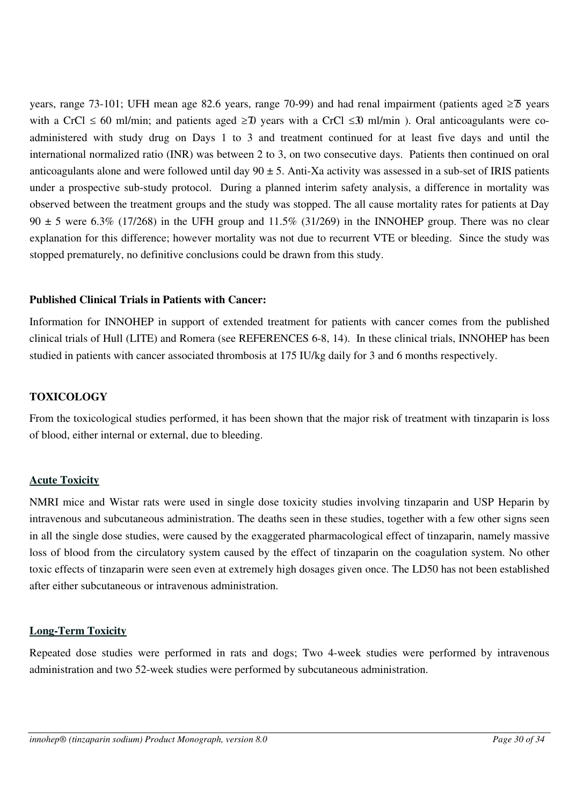years, range 73-101; UFH mean age 82.6 years, range 70-99) and had renal impairment (patients aged  $\geq 75$  years with a CrCl  $\leq 60$  ml/min; and patients aged  $\geq 70$  years with a CrCl  $\leq 30$  ml/min). Oral anticoagulants were coadministered with study drug on Days 1 to 3 and treatment continued for at least five days and until the international normalized ratio (INR) was between 2 to 3, on two consecutive days. Patients then continued on oral anticoagulants alone and were followed until day  $90 \pm 5$ . Anti-Xa activity was assessed in a sub-set of IRIS patients under a prospective sub-study protocol. During a planned interim safety analysis, a difference in mortality was observed between the treatment groups and the study was stopped. The all cause mortality rates for patients at Day  $90 \pm 5$  were 6.3% (17/268) in the UFH group and 11.5% (31/269) in the INNOHEP group. There was no clear explanation for this difference; however mortality was not due to recurrent VTE or bleeding. Since the study was stopped prematurely, no definitive conclusions could be drawn from this study.

# **Published Clinical Trials in Patients with Cancer:**

Information for INNOHEP in support of extended treatment for patients with cancer comes from the published clinical trials of Hull (LITE) and Romera (see REFERENCES 6-8, 14). In these clinical trials, INNOHEP has been studied in patients with cancer associated thrombosis at 175 IU/kg daily for 3 and 6 months respectively.

## <span id="page-29-0"></span>**TOXICOLOGY**

From the toxicological studies performed, it has been shown that the major risk of treatment with tinzaparin is loss of blood, either internal or external, due to bleeding.

# **Acute Toxicity**

NMRI mice and Wistar rats were used in single dose toxicity studies involving tinzaparin and USP Heparin by intravenous and subcutaneous administration. The deaths seen in these studies, together with a few other signs seen in all the single dose studies, were caused by the exaggerated pharmacological effect of tinzaparin, namely massive loss of blood from the circulatory system caused by the effect of tinzaparin on the coagulation system. No other toxic effects of tinzaparin were seen even at extremely high dosages given once. The LD50 has not been established after either subcutaneous or intravenous administration.

#### **Long-Term Toxicity**

Repeated dose studies were performed in rats and dogs; Two 4-week studies were performed by intravenous administration and two 52-week studies were performed by subcutaneous administration.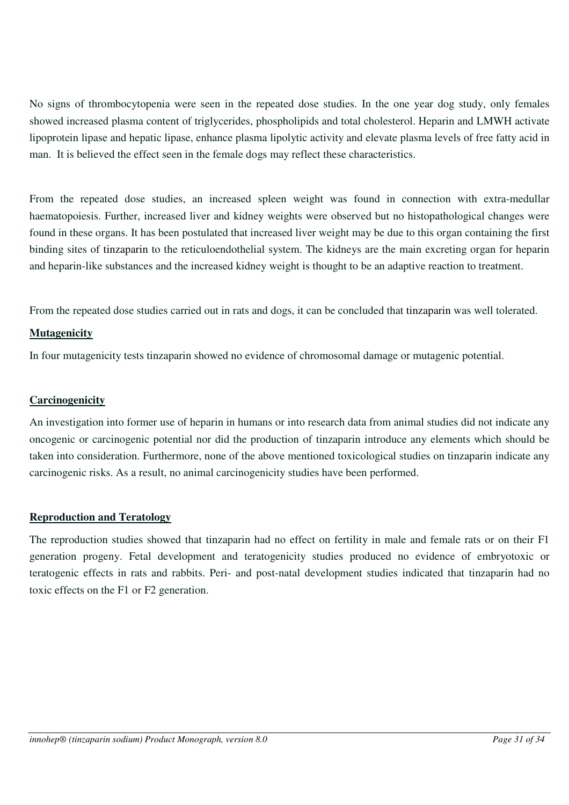No signs of thrombocytopenia were seen in the repeated dose studies. In the one year dog study, only females showed increased plasma content of triglycerides, phospholipids and total cholesterol. Heparin and LMWH activate lipoprotein lipase and hepatic lipase, enhance plasma lipolytic activity and elevate plasma levels of free fatty acid in man. It is believed the effect seen in the female dogs may reflect these characteristics.

From the repeated dose studies, an increased spleen weight was found in connection with extra-medullar haematopoiesis. Further, increased liver and kidney weights were observed but no histopathological changes were found in these organs. It has been postulated that increased liver weight may be due to this organ containing the first binding sites of tinzaparin to the reticuloendothelial system. The kidneys are the main excreting organ for heparin and heparin-like substances and the increased kidney weight is thought to be an adaptive reaction to treatment.

From the repeated dose studies carried out in rats and dogs, it can be concluded that tinzaparin was well tolerated.

#### **Mutagenicity**

In four mutagenicity tests tinzaparin showed no evidence of chromosomal damage or mutagenic potential.

#### **Carcinogenicity**

An investigation into former use of heparin in humans or into research data from animal studies did not indicate any oncogenic or carcinogenic potential nor did the production of tinzaparin introduce any elements which should be taken into consideration. Furthermore, none of the above mentioned toxicological studies on tinzaparin indicate any carcinogenic risks. As a result, no animal carcinogenicity studies have been performed.

#### **Reproduction and Teratology**

The reproduction studies showed that tinzaparin had no effect on fertility in male and female rats or on their F1 generation progeny. Fetal development and teratogenicity studies produced no evidence of embryotoxic or teratogenic effects in rats and rabbits. Peri- and post-natal development studies indicated that tinzaparin had no toxic effects on the F1 or F2 generation.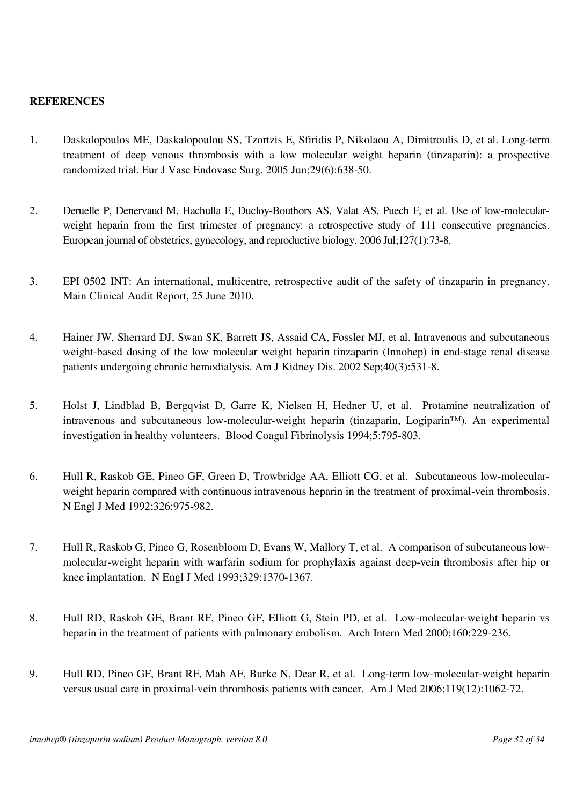# <span id="page-31-0"></span>**REFERENCES**

- 1. Daskalopoulos ME, Daskalopoulou SS, Tzortzis E, Sfiridis P, Nikolaou A, Dimitroulis D, et al. Long-term treatment of deep venous thrombosis with a low molecular weight heparin (tinzaparin): a prospective randomized trial. Eur J Vasc Endovasc Surg. 2005 Jun;29(6):638-50.
- 2. Deruelle P, Denervaud M, Hachulla E, Ducloy-Bouthors AS, Valat AS, Puech F, et al. Use of low-molecularweight heparin from the first trimester of pregnancy: a retrospective study of 111 consecutive pregnancies. European journal of obstetrics, gynecology, and reproductive biology. 2006 Jul;127(1):73-8.
- 3. EPI 0502 INT: An international, multicentre, retrospective audit of the safety of tinzaparin in pregnancy. Main Clinical Audit Report, 25 June 2010.
- 4. Hainer JW, Sherrard DJ, Swan SK, Barrett JS, Assaid CA, Fossler MJ, et al. Intravenous and subcutaneous weight-based dosing of the low molecular weight heparin tinzaparin (Innohep) in end-stage renal disease patients undergoing chronic hemodialysis. Am J Kidney Dis. 2002 Sep;40(3):531-8.
- 5. Holst J, Lindblad B, Bergqvist D, Garre K, Nielsen H, Hedner U, et al. Protamine neutralization of intravenous and subcutaneous low-molecular-weight heparin (tinzaparin, Logiparin™). An experimental investigation in healthy volunteers. Blood Coagul Fibrinolysis 1994;5:795-803.
- 6. Hull R, Raskob GE, Pineo GF, Green D, Trowbridge AA, Elliott CG, et al. Subcutaneous low-molecularweight heparin compared with continuous intravenous heparin in the treatment of proximal-vein thrombosis. N Engl J Med 1992;326:975-982.
- 7. Hull R, Raskob G, Pineo G, Rosenbloom D, Evans W, Mallory T, et al. A comparison of subcutaneous lowmolecular-weight heparin with warfarin sodium for prophylaxis against deep-vein thrombosis after hip or knee implantation. N Engl J Med 1993;329:1370-1367.
- 8. Hull RD, Raskob GE, Brant RF, Pineo GF, Elliott G, Stein PD, et al. Low-molecular-weight heparin vs heparin in the treatment of patients with pulmonary embolism. Arch Intern Med 2000;160:229-236.
- 9. Hull RD, Pineo GF, Brant RF, Mah AF, Burke N, Dear R, et al. Long-term low-molecular-weight heparin versus usual care in proximal-vein thrombosis patients with cancer. Am J Med 2006;119(12):1062-72.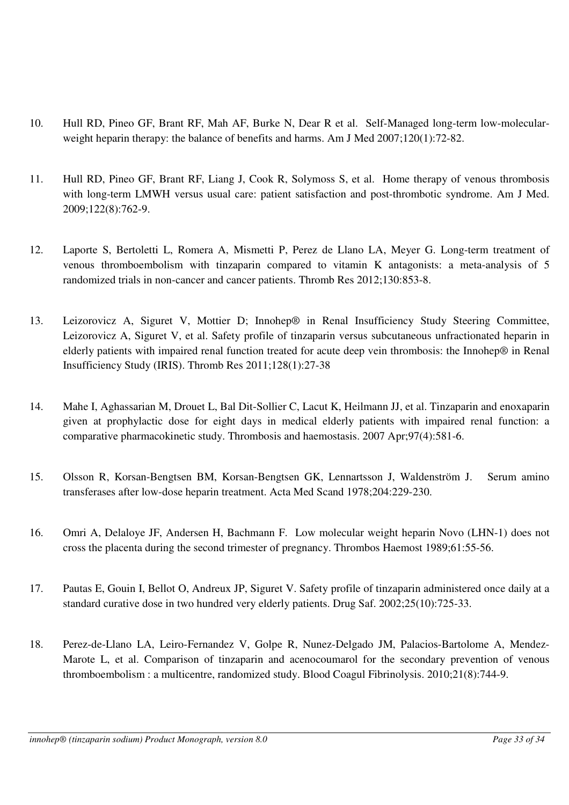- 10. Hull RD, Pineo GF, Brant RF, Mah AF, Burke N, Dear R et al. Self-Managed long-term low-molecularweight heparin therapy: the balance of benefits and harms. Am J Med 2007;120(1):72-82.
- 11. Hull RD, Pineo GF, Brant RF, Liang J, Cook R, Solymoss S, et al. Home therapy of venous thrombosis with long-term LMWH versus usual care: patient satisfaction and post-thrombotic syndrome. Am J Med. 2009;122(8):762-9.
- 12. Laporte S, Bertoletti L, Romera A, Mismetti P, Perez de Llano LA, Meyer G. Long-term treatment of venous thromboembolism with tinzaparin compared to vitamin K antagonists: a meta-analysis of 5 randomized trials in non-cancer and cancer patients. Thromb Res 2012;130:853-8.
- 13. Leizorovicz A, Siguret V, Mottier D; Innohep® in Renal Insufficiency Study Steering Committee, Leizorovicz A, Siguret V, et al. Safety profile of tinzaparin versus subcutaneous unfractionated heparin in elderly patients with impaired renal function treated for acute deep vein thrombosis: the Innohep® in Renal Insufficiency Study (IRIS). Thromb Res 2011;128(1):27-38
- 14. Mahe I, Aghassarian M, Drouet L, Bal Dit-Sollier C, Lacut K, Heilmann JJ, et al. Tinzaparin and enoxaparin given at prophylactic dose for eight days in medical elderly patients with impaired renal function: a comparative pharmacokinetic study. Thrombosis and haemostasis. 2007 Apr;97(4):581-6.
- 15. Olsson R, Korsan-Bengtsen BM, Korsan-Bengtsen GK, Lennartsson J, Waldenström J. Serum amino transferases after low-dose heparin treatment. Acta Med Scand 1978;204:229-230.
- 16. Omri A, Delaloye JF, Andersen H, Bachmann F. Low molecular weight heparin Novo (LHN-1) does not cross the placenta during the second trimester of pregnancy. Thrombos Haemost 1989;61:55-56.
- 17. Pautas E, Gouin I, Bellot O, Andreux JP, Siguret V. Safety profile of tinzaparin administered once daily at a standard curative dose in two hundred very elderly patients. Drug Saf. 2002;25(10):725-33.
- 18. Perez-de-Llano LA, Leiro-Fernandez V, Golpe R, Nunez-Delgado JM, Palacios-Bartolome A, Mendez-Marote L, et al. Comparison of tinzaparin and acenocoumarol for the secondary prevention of venous thromboembolism : a multicentre, randomized study. Blood Coagul Fibrinolysis. 2010;21(8):744-9.